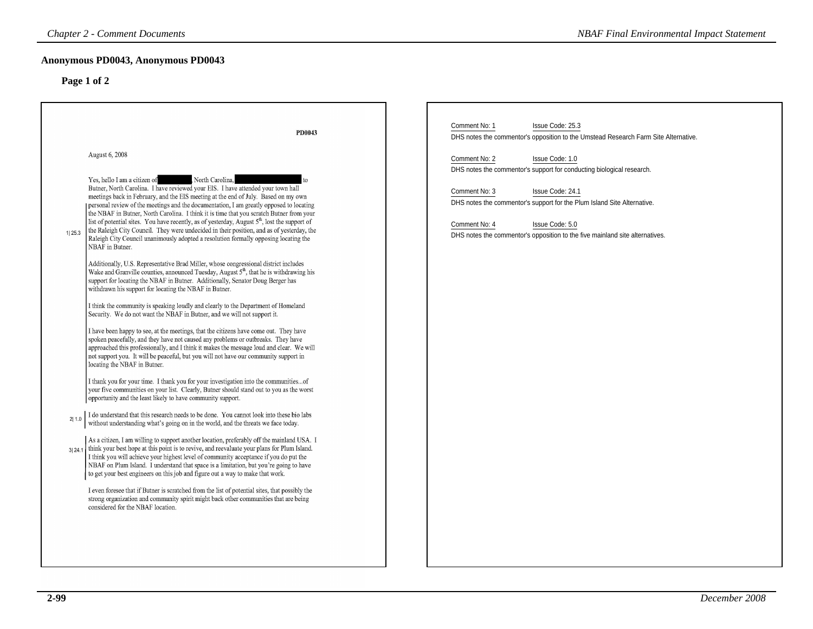### **Anonymous PD0043, Anonymous PD0043**

| <b>Chapter 2 - Comment Documents</b>                                                                                                                                                                                                                                                                                                                                                                                                                                                                                                                                                                                                                                                                                                   | <b>NBAF Final Environmental Impact Statement</b>                                                                                                                                                                                 |
|----------------------------------------------------------------------------------------------------------------------------------------------------------------------------------------------------------------------------------------------------------------------------------------------------------------------------------------------------------------------------------------------------------------------------------------------------------------------------------------------------------------------------------------------------------------------------------------------------------------------------------------------------------------------------------------------------------------------------------------|----------------------------------------------------------------------------------------------------------------------------------------------------------------------------------------------------------------------------------|
| Anonymous PD0043, Anonymous PD0043                                                                                                                                                                                                                                                                                                                                                                                                                                                                                                                                                                                                                                                                                                     |                                                                                                                                                                                                                                  |
| Page 1 of 2                                                                                                                                                                                                                                                                                                                                                                                                                                                                                                                                                                                                                                                                                                                            |                                                                                                                                                                                                                                  |
| PD0043                                                                                                                                                                                                                                                                                                                                                                                                                                                                                                                                                                                                                                                                                                                                 | Comment No: 1<br>Issue Code: 25.3<br>DHS notes the commentor's opposition to the Umstead Research Farm Site Alternative.                                                                                                         |
| August 6, 2008                                                                                                                                                                                                                                                                                                                                                                                                                                                                                                                                                                                                                                                                                                                         | Comment No: 2<br>Issue Code: 1.0<br>DHS notes the commentor's support for conducting biological research.                                                                                                                        |
| North Carolina,<br>Yes, hello I am a citizen of<br>Butner, North Carolina. I have reviewed your EIS. I have attended your town hall<br>meetings back in February, and the EIS meeting at the end of July. Based on my own<br>personal review of the meetings and the documentation, I am greatly opposed to locating<br>the NBAF in Butner, North Carolina. I think it is time that you scratch Butner from your<br>list of potential sites. You have recently, as of yesterday, August $5th$ , lost the support of<br>the Raleigh City Council. They were undecided in their position, and as of yesterday, the<br>11 25.3<br>Raleigh City Council unanimously adopted a resolution formally opposing locating the<br>NBAF in Butner. | Comment No: 3<br>Issue Code: 24.1<br>DHS notes the commentor's support for the Plum Island Site Alternative.<br>Comment No: 4<br>Issue Code: 5.0<br>DHS notes the commentor's opposition to the five mainland site alternatives. |
| Additionally, U.S. Representative Brad Miller, whose congressional district includes<br>Wake and Granville counties, announced Tuesday, August 5 <sup>th</sup> , that he is withdrawing his<br>support for locating the NBAF in Butner. Additionally, Senator Doug Berger has<br>withdrawn his support for locating the NBAF in Butner.                                                                                                                                                                                                                                                                                                                                                                                                |                                                                                                                                                                                                                                  |
| I think the community is speaking loudly and clearly to the Department of Homeland<br>Security. We do not want the NBAF in Butner, and we will not support it.<br>I have been happy to see, at the meetings, that the citizens have come out. They have<br>spoken peacefully, and they have not caused any problems or outbreaks. They have<br>approached this professionally, and I think it makes the message loud and clear. We will<br>not support you. It will be peaceful, but you will not have our community support in<br>locating the NBAF in Butner.                                                                                                                                                                        |                                                                                                                                                                                                                                  |
| I thank you for your time. I thank you for your investigation into the communitiesof<br>your five communities on your list. Clearly, Butner should stand out to you as the worst<br>opportunity and the least likely to have community support.                                                                                                                                                                                                                                                                                                                                                                                                                                                                                        |                                                                                                                                                                                                                                  |
| I do understand that this research needs to be done. You cannot look into these bio labs without understanding what's going on in the world, and the threats we face today.<br>2 1.0                                                                                                                                                                                                                                                                                                                                                                                                                                                                                                                                                   |                                                                                                                                                                                                                                  |
| As a citizen, I am willing to support another location, preferably off the mainland USA. I<br>think your best hope at this point is to revive, and reevaluate your plans for Plum Island.<br>31 24.1<br>I think you will achieve your highest level of community acceptance if you do put the<br>NBAF on Plum Island. I understand that space is a limitation, but you're going to have<br>to get your best engineers on this job and figure out a way to make that work.                                                                                                                                                                                                                                                              |                                                                                                                                                                                                                                  |
| I even foresee that if Butner is scratched from the list of potential sites, that possibly the<br>strong organization and community spirit might back other communities that are being<br>considered for the NBAF location.                                                                                                                                                                                                                                                                                                                                                                                                                                                                                                            |                                                                                                                                                                                                                                  |
|                                                                                                                                                                                                                                                                                                                                                                                                                                                                                                                                                                                                                                                                                                                                        |                                                                                                                                                                                                                                  |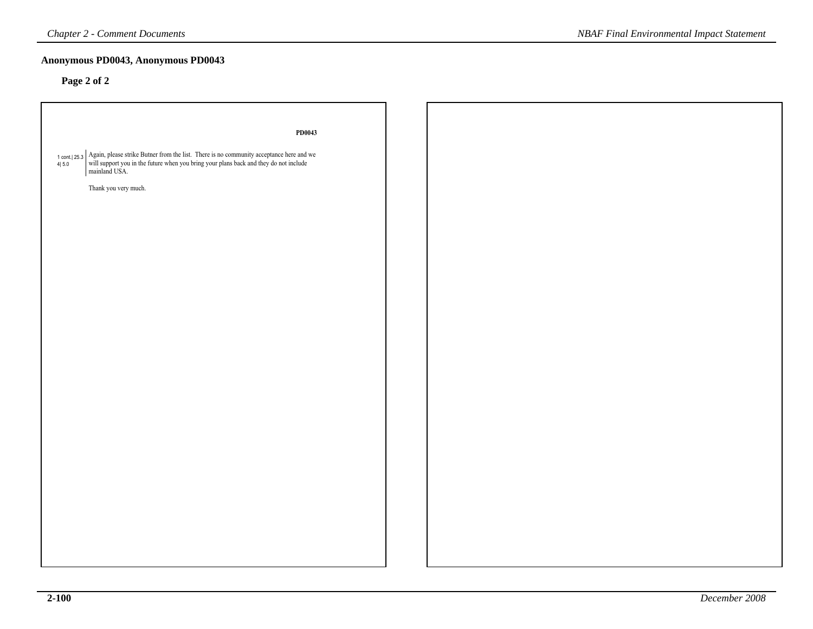# **Anonymous PD0043, Anonymous PD0043**

# **Page 2 of 2**

| PD0043                                                                                                                                                                                                                        |
|-------------------------------------------------------------------------------------------------------------------------------------------------------------------------------------------------------------------------------|
|                                                                                                                                                                                                                               |
| $\uparrow$ cont. [25.3 $\uparrow$ Again, please strike Butner from the list. There is no community acceptance here and we will support you in the future when you bring your plans back and they do not include mainland USA. |
|                                                                                                                                                                                                                               |
|                                                                                                                                                                                                                               |
| Thank you very much.                                                                                                                                                                                                          |
|                                                                                                                                                                                                                               |
|                                                                                                                                                                                                                               |
|                                                                                                                                                                                                                               |
|                                                                                                                                                                                                                               |
|                                                                                                                                                                                                                               |
|                                                                                                                                                                                                                               |
|                                                                                                                                                                                                                               |
|                                                                                                                                                                                                                               |
|                                                                                                                                                                                                                               |
|                                                                                                                                                                                                                               |
|                                                                                                                                                                                                                               |
|                                                                                                                                                                                                                               |
|                                                                                                                                                                                                                               |
|                                                                                                                                                                                                                               |
|                                                                                                                                                                                                                               |
|                                                                                                                                                                                                                               |
|                                                                                                                                                                                                                               |
|                                                                                                                                                                                                                               |
|                                                                                                                                                                                                                               |
|                                                                                                                                                                                                                               |
|                                                                                                                                                                                                                               |
|                                                                                                                                                                                                                               |
|                                                                                                                                                                                                                               |
|                                                                                                                                                                                                                               |
|                                                                                                                                                                                                                               |
|                                                                                                                                                                                                                               |
|                                                                                                                                                                                                                               |
|                                                                                                                                                                                                                               |
|                                                                                                                                                                                                                               |
|                                                                                                                                                                                                                               |
|                                                                                                                                                                                                                               |
|                                                                                                                                                                                                                               |
|                                                                                                                                                                                                                               |
|                                                                                                                                                                                                                               |
|                                                                                                                                                                                                                               |
|                                                                                                                                                                                                                               |
|                                                                                                                                                                                                                               |
|                                                                                                                                                                                                                               |
|                                                                                                                                                                                                                               |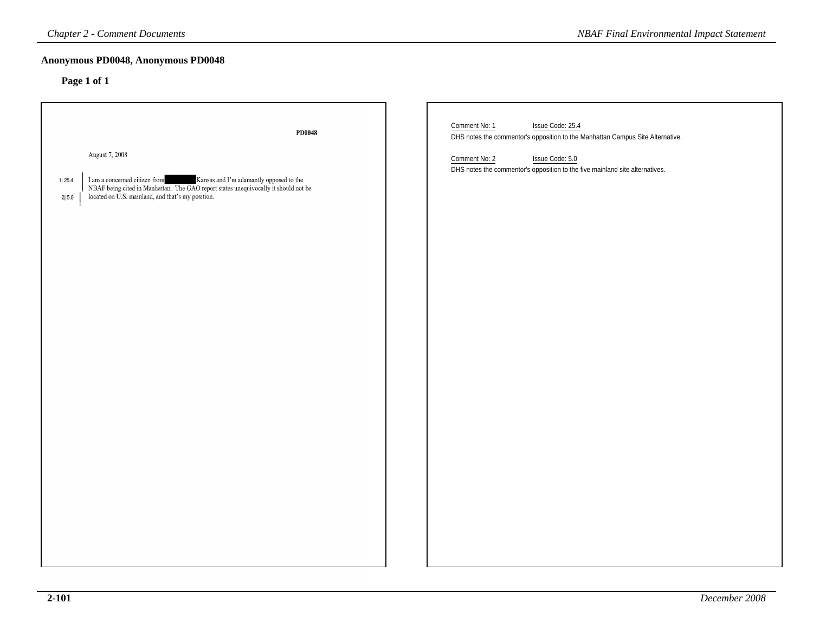### **Anonymous PD0048, Anonymous PD0048**

| Anonymous PD0048, Anonymous PD0048                                                                                                                                                                                                                                      |                                                                                                                                                                                                                                         |
|-------------------------------------------------------------------------------------------------------------------------------------------------------------------------------------------------------------------------------------------------------------------------|-----------------------------------------------------------------------------------------------------------------------------------------------------------------------------------------------------------------------------------------|
| Page 1 of 1                                                                                                                                                                                                                                                             |                                                                                                                                                                                                                                         |
| PD0048<br>August 7, 2008<br>$\;$ I am a concerned citizen from $\;$ Kansas and I'm adamantly opposed to the NBAF being cited in Manhattan. The GAO report states unequivocally it should not be<br>1 25.4<br>located on U.S. mainland, and that's my position.<br>2 5.0 | Comment No: 1<br>Issue Code: 25.4<br>DHS notes the commentor's opposition to the Manhattan Campus Site Alternative.<br>Comment No: 2<br>Issue Code: 5.0<br>DHS notes the commentor's opposition to the five mainland site alternatives. |
|                                                                                                                                                                                                                                                                         |                                                                                                                                                                                                                                         |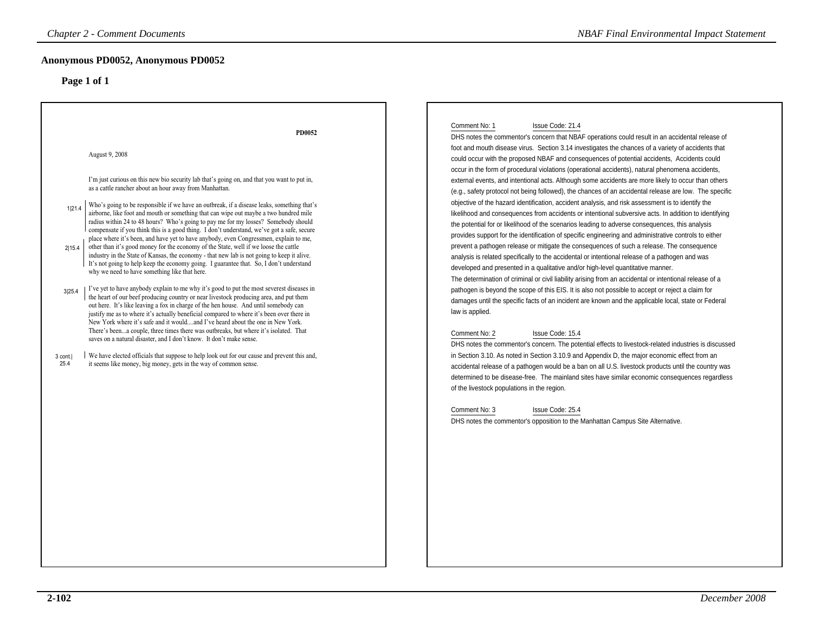# **Anonymous PD0052, Anonymous PD0052**

| <b>Chapter 2 - Comment Documents</b>                                                                                                                                                                                                                                                                                                                                                                                                                                                                                                                                                                                                                                                                                                                                                                                                                                                                                                                                                                                                                                                                                                                                                                                                                                                                                                                                                                                                                                                                                                                                                                                                                                                                                                                                                                                                     | <b>NBAF Final Environmental Impact Statement</b>                                                                                                                                                                                                                                                                                                                                                                                                                                                                                                                                                                                                                                                                                                                                                                                                                                                                                                                                                                                                                                                                                                                                                                                                                                                                                                                                                                                                                                                                                                                                                                                                                                                                                                                                                                                                                                                                                                                                                                                                                                                                                                                                                                                                                                                                                                        |
|------------------------------------------------------------------------------------------------------------------------------------------------------------------------------------------------------------------------------------------------------------------------------------------------------------------------------------------------------------------------------------------------------------------------------------------------------------------------------------------------------------------------------------------------------------------------------------------------------------------------------------------------------------------------------------------------------------------------------------------------------------------------------------------------------------------------------------------------------------------------------------------------------------------------------------------------------------------------------------------------------------------------------------------------------------------------------------------------------------------------------------------------------------------------------------------------------------------------------------------------------------------------------------------------------------------------------------------------------------------------------------------------------------------------------------------------------------------------------------------------------------------------------------------------------------------------------------------------------------------------------------------------------------------------------------------------------------------------------------------------------------------------------------------------------------------------------------------|---------------------------------------------------------------------------------------------------------------------------------------------------------------------------------------------------------------------------------------------------------------------------------------------------------------------------------------------------------------------------------------------------------------------------------------------------------------------------------------------------------------------------------------------------------------------------------------------------------------------------------------------------------------------------------------------------------------------------------------------------------------------------------------------------------------------------------------------------------------------------------------------------------------------------------------------------------------------------------------------------------------------------------------------------------------------------------------------------------------------------------------------------------------------------------------------------------------------------------------------------------------------------------------------------------------------------------------------------------------------------------------------------------------------------------------------------------------------------------------------------------------------------------------------------------------------------------------------------------------------------------------------------------------------------------------------------------------------------------------------------------------------------------------------------------------------------------------------------------------------------------------------------------------------------------------------------------------------------------------------------------------------------------------------------------------------------------------------------------------------------------------------------------------------------------------------------------------------------------------------------------------------------------------------------------------------------------------------------------|
| Anonymous PD0052, Anonymous PD0052<br>Page 1 of 1                                                                                                                                                                                                                                                                                                                                                                                                                                                                                                                                                                                                                                                                                                                                                                                                                                                                                                                                                                                                                                                                                                                                                                                                                                                                                                                                                                                                                                                                                                                                                                                                                                                                                                                                                                                        |                                                                                                                                                                                                                                                                                                                                                                                                                                                                                                                                                                                                                                                                                                                                                                                                                                                                                                                                                                                                                                                                                                                                                                                                                                                                                                                                                                                                                                                                                                                                                                                                                                                                                                                                                                                                                                                                                                                                                                                                                                                                                                                                                                                                                                                                                                                                                         |
| PD0052<br>August 9, 2008<br>I'm just curious on this new bio security lab that's going on, and that you want to put in,<br>as a cattle rancher about an hour away from Manhattan.<br>Who's going to be responsible if we have an outbreak, if a disease leaks, something that's<br>1 21.4<br>airborne, like foot and mouth or something that can wipe out maybe a two hundred mile<br>radius within 24 to 48 hours? Who's going to pay me for my losses? Somebody should<br>compensate if you think this is a good thing. I don't understand, we've got a safe, secure<br>place where it's been, and have yet to have anybody, even Congressmen, explain to me,<br>other than it's good money for the economy of the State, well if we loose the cattle<br>2 15.4<br>industry in the State of Kansas, the economy - that new lab is not going to keep it alive.<br>It's not going to help keep the economy going. I guarantee that. So, I don't understand<br>why we need to have something like that here.<br>I've yet to have anybody explain to me why it's good to put the most severest diseases in<br>3 25.4<br>the heart of our beef producing country or near livestock producing area, and put them<br>out here. It's like leaving a fox in charge of the hen house. And until somebody can<br>justify me as to where it's actually beneficial compared to where it's been over there in<br>New York where it's safe and it wouldand I've heard about the one in New York.<br>There's beena couple, three times there was outbreaks, but where it's isolated. That<br>saves on a natural disaster, and I don't know. It don't make sense.<br>We have elected officials that suppose to help look out for our cause and prevent this and,<br>3 cont.<br>25.4<br>it seems like money, big money, gets in the way of common sense. | Comment No: 1<br>Issue Code: 21.4<br>DHS notes the commentor's concern that NBAF operations could result in an accidental release of<br>foot and mouth disease virus. Section 3.14 investigates the chances of a variety of accidents that<br>could occur with the proposed NBAF and consequences of potential accidents, Accidents could<br>occur in the form of procedural violations (operational accidents), natural phenomena accidents,<br>external events, and intentional acts. Although some accidents are more likely to occur than others<br>(e.g., safety protocol not being followed), the chances of an accidental release are low. The specific<br>objective of the hazard identification, accident analysis, and risk assessment is to identify the<br>likelihood and consequences from accidents or intentional subversive acts. In addition to identifying<br>the potential for or likelihood of the scenarios leading to adverse consequences, this analysis<br>provides support for the identification of specific engineering and administrative controls to either<br>prevent a pathogen release or mitigate the consequences of such a release. The consequence<br>analysis is related specifically to the accidental or intentional release of a pathogen and was<br>developed and presented in a qualitative and/or high-level quantitative manner.<br>The determination of criminal or civil liability arising from an accidental or intentional release of a<br>pathogen is beyond the scope of this EIS. It is also not possible to accept or reject a claim for<br>damages until the specific facts of an incident are known and the applicable local, state or Federal<br>law is applied.<br>Comment No: 2<br>Issue Code: 15.4<br>DHS notes the commentor's concern. The potential effects to livestock-related industries is discussed<br>in Section 3.10. As noted in Section 3.10.9 and Appendix D, the major economic effect from an<br>accidental release of a pathogen would be a ban on all U.S. livestock products until the country was<br>determined to be disease-free. The mainland sites have similar economic consequences regardless<br>of the livestock populations in the region.<br>Comment No: 3<br>Issue Code: 25.4<br>DHS notes the commentor's opposition to the Manhattan Campus Site Alternative. |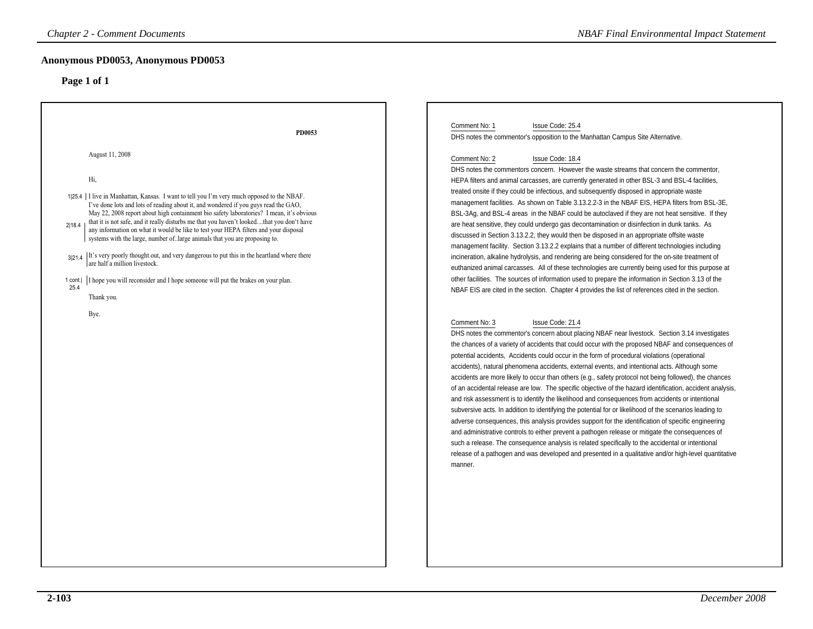| <b>Chapter 2 - Comment Documents</b>                                                                                                                                                                                                                                                                                                                                                                                                                                                                                                                                                                                                                                                                                                                                                                                                               | <b>NBAF Final Environmental Impact Statement</b>                                                                                                                                                                                                                                                                                                                                                                                                                                                                                                                                                                                                                                                                                                                                                                                                                                                                                                                                                                                                                                                                                                                                                                                                                                                                    |
|----------------------------------------------------------------------------------------------------------------------------------------------------------------------------------------------------------------------------------------------------------------------------------------------------------------------------------------------------------------------------------------------------------------------------------------------------------------------------------------------------------------------------------------------------------------------------------------------------------------------------------------------------------------------------------------------------------------------------------------------------------------------------------------------------------------------------------------------------|---------------------------------------------------------------------------------------------------------------------------------------------------------------------------------------------------------------------------------------------------------------------------------------------------------------------------------------------------------------------------------------------------------------------------------------------------------------------------------------------------------------------------------------------------------------------------------------------------------------------------------------------------------------------------------------------------------------------------------------------------------------------------------------------------------------------------------------------------------------------------------------------------------------------------------------------------------------------------------------------------------------------------------------------------------------------------------------------------------------------------------------------------------------------------------------------------------------------------------------------------------------------------------------------------------------------|
| Anonymous PD0053, Anonymous PD0053                                                                                                                                                                                                                                                                                                                                                                                                                                                                                                                                                                                                                                                                                                                                                                                                                 |                                                                                                                                                                                                                                                                                                                                                                                                                                                                                                                                                                                                                                                                                                                                                                                                                                                                                                                                                                                                                                                                                                                                                                                                                                                                                                                     |
| Page 1 of 1                                                                                                                                                                                                                                                                                                                                                                                                                                                                                                                                                                                                                                                                                                                                                                                                                                        |                                                                                                                                                                                                                                                                                                                                                                                                                                                                                                                                                                                                                                                                                                                                                                                                                                                                                                                                                                                                                                                                                                                                                                                                                                                                                                                     |
| PD0053                                                                                                                                                                                                                                                                                                                                                                                                                                                                                                                                                                                                                                                                                                                                                                                                                                             | Comment No: 1<br>Issue Code: 25.4<br>DHS notes the commentor's opposition to the Manhattan Campus Site Alternative.                                                                                                                                                                                                                                                                                                                                                                                                                                                                                                                                                                                                                                                                                                                                                                                                                                                                                                                                                                                                                                                                                                                                                                                                 |
| August 11, 2008<br>Hi,<br>1 25.4   I live in Manhattan, Kansas. I want to tell you I'm very much opposed to the NBAF.<br>I've done lots and lots of reading about it, and wondered if you guys read the GAO,<br>May 22, 2008 report about high containment bio safety laboratories? I mean, it's obvious<br>that it is not safe, and it really disturbs me that you haven't lookedthat you don't have<br>2 18.4<br>any information on what it would be like to test your HEPA filters and your disposal<br>systems with the large, number of. large animals that you are proposing to.<br>It's very poorly thought out, and very dangerous to put this in the heartland where there<br>3 21.4<br>are half a million livestock.<br>I hope you will reconsider and I hope someone will put the brakes on your plan.<br>1 cont.<br>25.4<br>Thank you. | Comment No: 2<br>Issue Code: 18.4<br>DHS notes the commentors concern. However the waste streams that concern the commentor,<br>HEPA filters and animal carcasses, are currently generated in other BSL-3 and BSL-4 facilities,<br>treated onsite if they could be infectious, and subsequently disposed in appropriate waste<br>management facilities. As shown on Table 3.13.2.2-3 in the NBAF EIS, HEPA filters from BSL-3E,<br>BSL-3Ag, and BSL-4 areas in the NBAF could be autoclaved if they are not heat sensitive. If they<br>are heat sensitive, they could undergo gas decontamination or disinfection in dunk tanks. As<br>discussed in Section 3.13.2.2, they would then be disposed in an appropriate offsite waste<br>management facility. Section 3.13.2.2 explains that a number of different technologies including<br>incineration, alkaline hydrolysis, and rendering are being considered for the on-site treatment of<br>euthanized animal carcasses. All of these technologies are currently being used for this purpose at<br>other facilities. The sources of information used to prepare the information in Section 3.13 of the<br>NBAF EIS are cited in the section. Chapter 4 provides the list of references cited in the section.                                                     |
| Bye.                                                                                                                                                                                                                                                                                                                                                                                                                                                                                                                                                                                                                                                                                                                                                                                                                                               | Comment No: 3<br>Issue Code: 21.4<br>DHS notes the commentor's concern about placing NBAF near livestock. Section 3.14 investigates<br>the chances of a variety of accidents that could occur with the proposed NBAF and consequences of<br>potential accidents, Accidents could occur in the form of procedural violations (operational<br>accidents), natural phenomena accidents, external events, and intentional acts. Although some<br>accidents are more likely to occur than others (e.g., safety protocol not being followed), the chances<br>of an accidental release are low. The specific objective of the hazard identification, accident analysis,<br>and risk assessment is to identify the likelihood and consequences from accidents or intentional<br>subversive acts. In addition to identifying the potential for or likelihood of the scenarios leading to<br>adverse consequences, this analysis provides support for the identification of specific engineering<br>and administrative controls to either prevent a pathogen release or mitigate the consequences of<br>such a release. The consequence analysis is related specifically to the accidental or intentional<br>release of a pathogen and was developed and presented in a qualitative and/or high-level quantitative<br>manner. |
|                                                                                                                                                                                                                                                                                                                                                                                                                                                                                                                                                                                                                                                                                                                                                                                                                                                    |                                                                                                                                                                                                                                                                                                                                                                                                                                                                                                                                                                                                                                                                                                                                                                                                                                                                                                                                                                                                                                                                                                                                                                                                                                                                                                                     |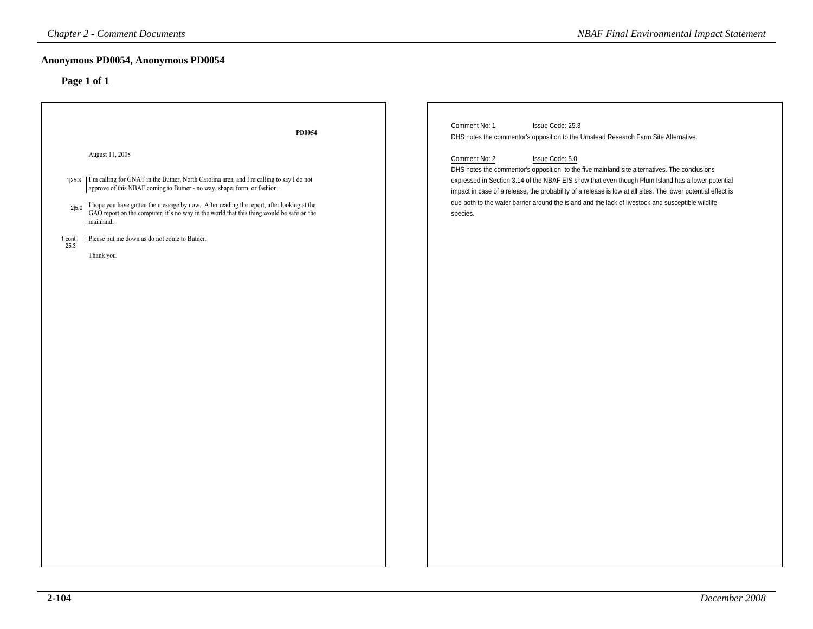| <b>Chapter 2 - Comment Documents</b>                                                                                                                                                                                                                                                                                                                                                                                                                                                                    | <b>NBAF Final Environmental Impact Statement</b>                                                                                                                                                                                                                                                                                                                                                                                                                                                                                                                                                    |
|---------------------------------------------------------------------------------------------------------------------------------------------------------------------------------------------------------------------------------------------------------------------------------------------------------------------------------------------------------------------------------------------------------------------------------------------------------------------------------------------------------|-----------------------------------------------------------------------------------------------------------------------------------------------------------------------------------------------------------------------------------------------------------------------------------------------------------------------------------------------------------------------------------------------------------------------------------------------------------------------------------------------------------------------------------------------------------------------------------------------------|
| Anonymous PD0054, Anonymous PD0054<br>Page 1 of 1                                                                                                                                                                                                                                                                                                                                                                                                                                                       |                                                                                                                                                                                                                                                                                                                                                                                                                                                                                                                                                                                                     |
| PD0054<br>August 11, 2008<br>1 25.3   I'm calling for GNAT in the Butner, North Carolina area, and I m calling to say I do not<br>approve of this NBAF coming to Butner - no way, shape, form, or fashion.<br>$2 5.0$ I hope you have gotten the message by now. After reading the report, after looking at the GAO report on the computer, it's no way in the world that this thing would be safe on the<br>mainland.<br>Please put me down as do not come to Butner.<br>1 cont.<br>25.3<br>Thank you. | Issue Code: 25.3<br>Comment No: 1<br>DHS notes the commentor's opposition to the Umstead Research Farm Site Alternative.<br>Comment No: 2<br>Issue Code: 5.0<br>DHS notes the commentor's opposition to the five mainland site alternatives. The conclusions<br>expressed in Section 3.14 of the NBAF EIS show that even though Plum Island has a lower potential<br>impact in case of a release, the probability of a release is low at all sites. The lower potential effect is<br>due both to the water barrier around the island and the lack of livestock and susceptible wildlife<br>species. |
|                                                                                                                                                                                                                                                                                                                                                                                                                                                                                                         |                                                                                                                                                                                                                                                                                                                                                                                                                                                                                                                                                                                                     |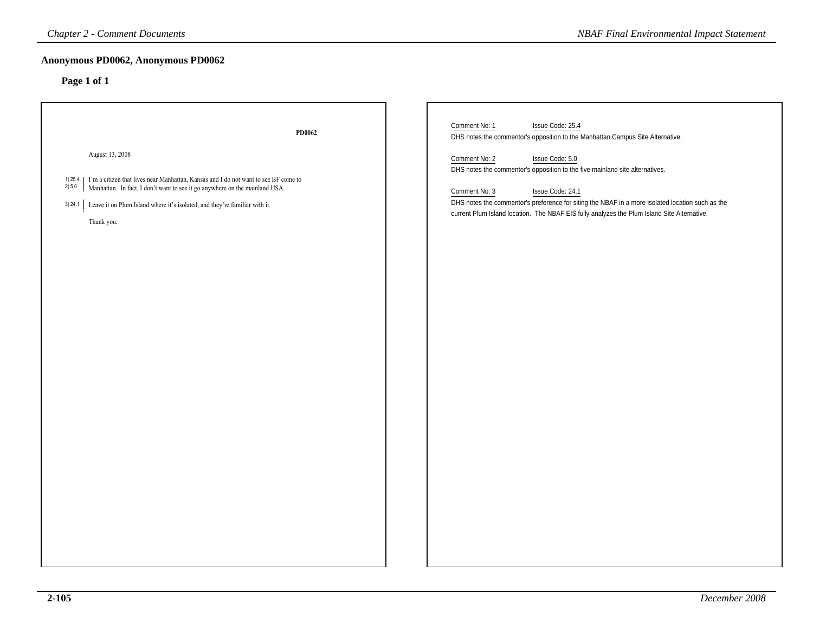| <b>Chapter 2 - Comment Documents</b>                                                                                                                                                                                                                                                                                          | <b>NBAF Final Environmental Impact Statement</b>                                                                                                                                                                                                                                                                                                                                                                                                                                |
|-------------------------------------------------------------------------------------------------------------------------------------------------------------------------------------------------------------------------------------------------------------------------------------------------------------------------------|---------------------------------------------------------------------------------------------------------------------------------------------------------------------------------------------------------------------------------------------------------------------------------------------------------------------------------------------------------------------------------------------------------------------------------------------------------------------------------|
| Anonymous PD0062, Anonymous PD0062<br>Page 1 of 1                                                                                                                                                                                                                                                                             |                                                                                                                                                                                                                                                                                                                                                                                                                                                                                 |
| PD0062<br>August 13, 2008<br>1  25.4 $\mid$ I'm a citizen that lives near Manhattan, Kansas and I do not want to see BF come to 2  5.0 $\mid$ Manhattan. In fact, I don't want to see it go anywhere on the mainland USA.<br>3  24.1 Leave it on Plum Island where it's isolated, and they're familiar with it.<br>Thank you. | Comment No: 1<br>Issue Code: 25.4<br>DHS notes the commentor's opposition to the Manhattan Campus Site Alternative.<br>Issue Code: 5.0<br>Comment No: 2<br>DHS notes the commentor's opposition to the five mainland site alternatives.<br>Comment No: 3<br>Issue Code: 24.1<br>DHS notes the commentor's preference for siting the NBAF in a more isolated location such as the<br>current Plum Island location. The NBAF EIS fully analyzes the Plum Island Site Alternative. |
|                                                                                                                                                                                                                                                                                                                               |                                                                                                                                                                                                                                                                                                                                                                                                                                                                                 |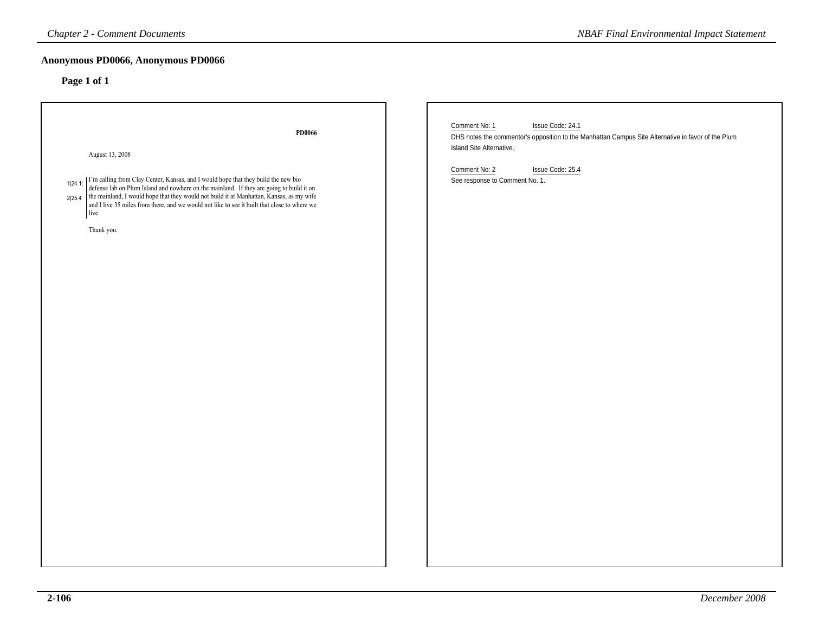| <b>NBAF Final Environmental Impact Statement</b>                                                                               |
|--------------------------------------------------------------------------------------------------------------------------------|
|                                                                                                                                |
| Comment No: 1<br>Issue Code: 24.1                                                                                              |
| DHS notes the commentor's opposition to the Manhattan Campus Site Alternative in favor of the Plum<br>Island Site Alternative. |
| Comment No: 2<br>Issue Code: 25.4<br>See response to Comment No. 1.                                                            |
|                                                                                                                                |
|                                                                                                                                |
|                                                                                                                                |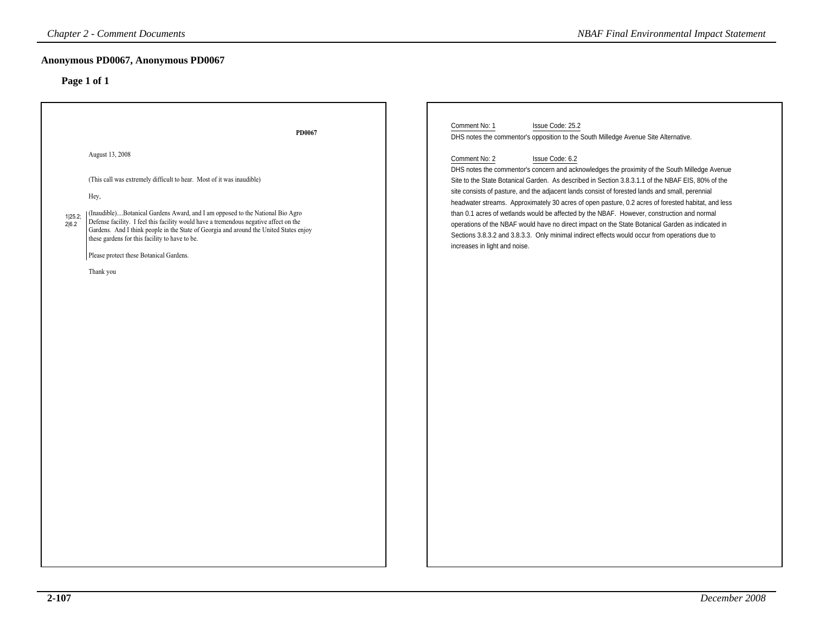| <b>Chapter 2 - Comment Documents</b>                                                                                                                                                                                                                                                                                                                                                                                                                                                                | <b>NBAF Final Environmental Impact Statement</b>                                                                                                                                                                                                                                                                                                                                                                                                                                                                                                                                                                                                                                                                                                                                     |
|-----------------------------------------------------------------------------------------------------------------------------------------------------------------------------------------------------------------------------------------------------------------------------------------------------------------------------------------------------------------------------------------------------------------------------------------------------------------------------------------------------|--------------------------------------------------------------------------------------------------------------------------------------------------------------------------------------------------------------------------------------------------------------------------------------------------------------------------------------------------------------------------------------------------------------------------------------------------------------------------------------------------------------------------------------------------------------------------------------------------------------------------------------------------------------------------------------------------------------------------------------------------------------------------------------|
| Anonymous PD0067, Anonymous PD0067<br>Page 1 of 1                                                                                                                                                                                                                                                                                                                                                                                                                                                   |                                                                                                                                                                                                                                                                                                                                                                                                                                                                                                                                                                                                                                                                                                                                                                                      |
| PD0067                                                                                                                                                                                                                                                                                                                                                                                                                                                                                              | Comment No: 1<br>Issue Code: 25.2<br>DHS notes the commentor's opposition to the South Milledge Avenue Site Alternative.                                                                                                                                                                                                                                                                                                                                                                                                                                                                                                                                                                                                                                                             |
| August 13, 2008<br>(This call was extremely difficult to hear. Most of it was inaudible)<br>Hey,<br>(Inaudible)Botanical Gardens Award, and I am opposed to the National Bio Agro<br>1 25.2;<br>Defense facility. I feel this facility would have a tremendous negative affect on the<br>2 6.2 <br>Gardens. And I think people in the State of Georgia and around the United States enjoy<br>these gardens for this facility to have to be.<br>Please protect these Botanical Gardens.<br>Thank you | Comment No: 2<br>Issue Code: 6.2<br>DHS notes the commentor's concern and acknowledges the proximity of the South Milledge Avenue<br>Site to the State Botanical Garden. As described in Section 3.8.3.1.1 of the NBAF EIS, 80% of the<br>site consists of pasture, and the adjacent lands consist of forested lands and small, perennial<br>headwater streams. Approximately 30 acres of open pasture, 0.2 acres of forested habitat, and less<br>than 0.1 acres of wetlands would be affected by the NBAF. However, construction and normal<br>operations of the NBAF would have no direct impact on the State Botanical Garden as indicated in<br>Sections 3.8.3.2 and 3.8.3.3. Only minimal indirect effects would occur from operations due to<br>increases in light and noise. |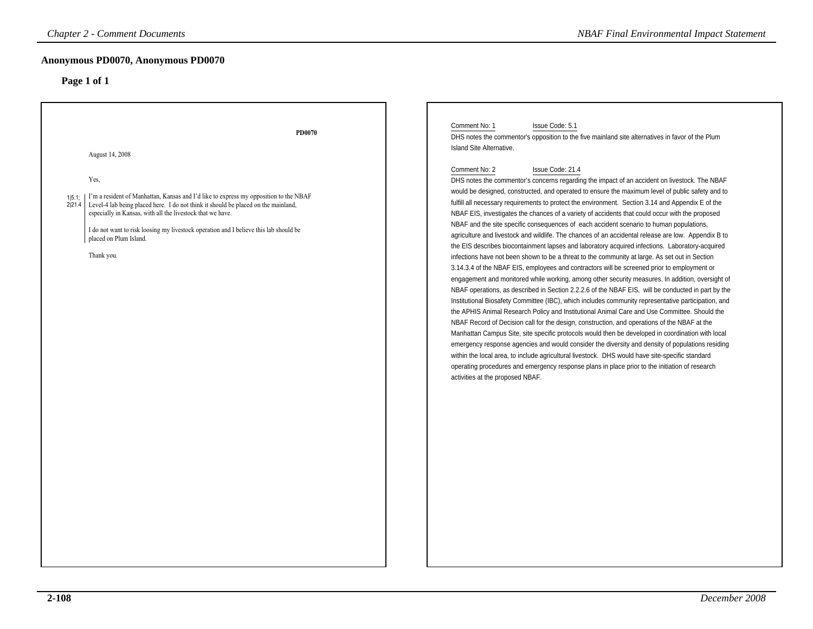| <b>Chapter 2 - Comment Documents</b>                                                                                                                                                                                                                                                                                                                                                                                                | <b>NBAF Final Environmental Impact Statement</b>                                                                                                                                                                                                                                                                                                                                                                                                                                                                                                                                                                                                                                                                                                                                                                                                                                                                                                                                                                                                                                                                                                                                                                                                                                                                                                                                                                                                                                                                                                                                                                                                                                                                                                                                                                                                                                                                                                                                                                                                                                            |
|-------------------------------------------------------------------------------------------------------------------------------------------------------------------------------------------------------------------------------------------------------------------------------------------------------------------------------------------------------------------------------------------------------------------------------------|---------------------------------------------------------------------------------------------------------------------------------------------------------------------------------------------------------------------------------------------------------------------------------------------------------------------------------------------------------------------------------------------------------------------------------------------------------------------------------------------------------------------------------------------------------------------------------------------------------------------------------------------------------------------------------------------------------------------------------------------------------------------------------------------------------------------------------------------------------------------------------------------------------------------------------------------------------------------------------------------------------------------------------------------------------------------------------------------------------------------------------------------------------------------------------------------------------------------------------------------------------------------------------------------------------------------------------------------------------------------------------------------------------------------------------------------------------------------------------------------------------------------------------------------------------------------------------------------------------------------------------------------------------------------------------------------------------------------------------------------------------------------------------------------------------------------------------------------------------------------------------------------------------------------------------------------------------------------------------------------------------------------------------------------------------------------------------------------|
| Anonymous PD0070, Anonymous PD0070<br>Page 1 of 1                                                                                                                                                                                                                                                                                                                                                                                   |                                                                                                                                                                                                                                                                                                                                                                                                                                                                                                                                                                                                                                                                                                                                                                                                                                                                                                                                                                                                                                                                                                                                                                                                                                                                                                                                                                                                                                                                                                                                                                                                                                                                                                                                                                                                                                                                                                                                                                                                                                                                                             |
| PD0070<br>August 14, 2008<br>Yes,<br>1 5.1;   I'm a resident of Manhattan, Kansas and I'd like to express my opposition to the NBAF<br>Level-4 lab being placed here. I do not think it should be placed on the mainland,<br>2 21.4 <br>especially in Kansas, with all the livestock that we have.<br>I do not want to risk loosing my livestock operation and I believe this lab should be<br>placed on Plum Island.<br>Thank you. | Comment No: 1<br>Issue Code: 5.1<br>DHS notes the commentor's opposition to the five mainland site alternatives in favor of the Plum<br>Island Site Alternative.<br>Comment No: 2<br>Issue Code: 21.4<br>DHS notes the commentor's concerns regarding the impact of an accident on livestock. The NBAF<br>would be designed, constructed, and operated to ensure the maximum level of public safety and to<br>fulfill all necessary requirements to protect the environment. Section 3.14 and Appendix E of the<br>NBAF EIS, investigates the chances of a variety of accidents that could occur with the proposed<br>NBAF and the site specific consequences of each accident scenario to human populations,<br>agriculture and livestock and wildlife. The chances of an accidental release are low. Appendix B to<br>the EIS describes biocontainment lapses and laboratory acquired infections. Laboratory-acquired<br>infections have not been shown to be a threat to the community at large. As set out in Section<br>3.14.3.4 of the NBAF EIS, employees and contractors will be screened prior to employment or<br>engagement and monitored while working, among other security measures. In addition, oversight of<br>NBAF operations, as described in Section 2.2.2.6 of the NBAF EIS, will be conducted in part by the<br>Institutional Biosafety Committee (IBC), which includes community representative participation, and<br>the APHIS Animal Research Policy and Institutional Animal Care and Use Committee. Should the<br>NBAF Record of Decision call for the design, construction, and operations of the NBAF at the<br>Manhattan Campus Site, site specific protocols would then be developed in coordination with local<br>emergency response agencies and would consider the diversity and density of populations residing<br>within the local area, to include agricultural livestock. DHS would have site-specific standard<br>operating procedures and emergency response plans in place prior to the initiation of research<br>activities at the proposed NBAF. |
|                                                                                                                                                                                                                                                                                                                                                                                                                                     |                                                                                                                                                                                                                                                                                                                                                                                                                                                                                                                                                                                                                                                                                                                                                                                                                                                                                                                                                                                                                                                                                                                                                                                                                                                                                                                                                                                                                                                                                                                                                                                                                                                                                                                                                                                                                                                                                                                                                                                                                                                                                             |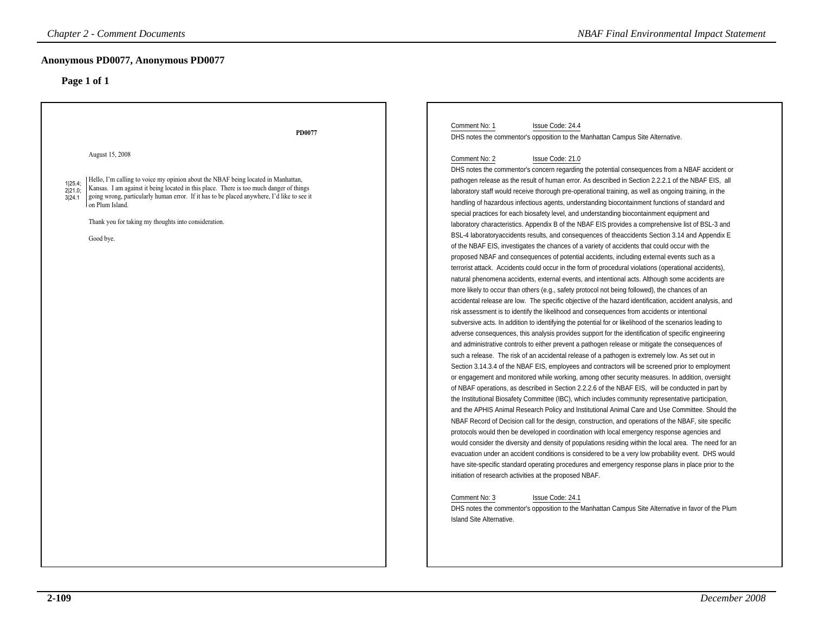| <b>Chapter 2 - Comment Documents</b>                                                                                                                                                                                                                                                                                                                                                                                  | <b>NBAF Final Environmental Impact Statement</b>                                                                                                                                                                                                                                                                                                                                                                                                                                                                                                                                                                                                                                                                                                                                                                                                                                                                                                                                                                                                                                                                                                                                                                                                                                                                                                                                                                                                                                                                                                                                                                                                                                                                                                                                                                                                                                                                                                                                                                                                                                                                                                                                                                                                                                                                                                                                                                                                                                                                                                                                                                                                                                                                                                                                                                                                                                                                                                                                                                                                                                                                                                                                                                |
|-----------------------------------------------------------------------------------------------------------------------------------------------------------------------------------------------------------------------------------------------------------------------------------------------------------------------------------------------------------------------------------------------------------------------|-----------------------------------------------------------------------------------------------------------------------------------------------------------------------------------------------------------------------------------------------------------------------------------------------------------------------------------------------------------------------------------------------------------------------------------------------------------------------------------------------------------------------------------------------------------------------------------------------------------------------------------------------------------------------------------------------------------------------------------------------------------------------------------------------------------------------------------------------------------------------------------------------------------------------------------------------------------------------------------------------------------------------------------------------------------------------------------------------------------------------------------------------------------------------------------------------------------------------------------------------------------------------------------------------------------------------------------------------------------------------------------------------------------------------------------------------------------------------------------------------------------------------------------------------------------------------------------------------------------------------------------------------------------------------------------------------------------------------------------------------------------------------------------------------------------------------------------------------------------------------------------------------------------------------------------------------------------------------------------------------------------------------------------------------------------------------------------------------------------------------------------------------------------------------------------------------------------------------------------------------------------------------------------------------------------------------------------------------------------------------------------------------------------------------------------------------------------------------------------------------------------------------------------------------------------------------------------------------------------------------------------------------------------------------------------------------------------------------------------------------------------------------------------------------------------------------------------------------------------------------------------------------------------------------------------------------------------------------------------------------------------------------------------------------------------------------------------------------------------------------------------------------------------------------------------------------------------------|
| Anonymous PD0077, Anonymous PD0077<br>Page 1 of 1                                                                                                                                                                                                                                                                                                                                                                     |                                                                                                                                                                                                                                                                                                                                                                                                                                                                                                                                                                                                                                                                                                                                                                                                                                                                                                                                                                                                                                                                                                                                                                                                                                                                                                                                                                                                                                                                                                                                                                                                                                                                                                                                                                                                                                                                                                                                                                                                                                                                                                                                                                                                                                                                                                                                                                                                                                                                                                                                                                                                                                                                                                                                                                                                                                                                                                                                                                                                                                                                                                                                                                                                                 |
| PD0077                                                                                                                                                                                                                                                                                                                                                                                                                | Comment No: 1<br>Issue Code: 24.4<br>DHS notes the commentor's opposition to the Manhattan Campus Site Alternative.                                                                                                                                                                                                                                                                                                                                                                                                                                                                                                                                                                                                                                                                                                                                                                                                                                                                                                                                                                                                                                                                                                                                                                                                                                                                                                                                                                                                                                                                                                                                                                                                                                                                                                                                                                                                                                                                                                                                                                                                                                                                                                                                                                                                                                                                                                                                                                                                                                                                                                                                                                                                                                                                                                                                                                                                                                                                                                                                                                                                                                                                                             |
| August 15, 2008<br>Hello, I'm calling to voice my opinion about the NBAF being located in Manhattan,<br>1 25.4;<br>Kansas. I am against it being located in this place. There is too much danger of things<br>2 21.0;<br>going wrong, particularly human error. If it has to be placed anywhere, I'd like to see it<br>3 24.1<br>on Plum Island.<br>Thank you for taking my thoughts into consideration.<br>Good bye. | Comment No: 2<br>Issue Code: 21.0<br>DHS notes the commentor's concern regarding the potential consequences from a NBAF accident or<br>pathogen release as the result of human error. As described in Section 2.2.2.1 of the NBAF EIS, all<br>laboratory staff would receive thorough pre-operational training, as well as ongoing training, in the<br>handling of hazardous infectious agents, understanding biocontainment functions of standard and<br>special practices for each biosafety level, and understanding biocontainment equipment and<br>laboratory characteristics. Appendix B of the NBAF EIS provides a comprehensive list of BSL-3 and<br>BSL-4 laboratoryaccidents results, and consequences of theaccidents Section 3.14 and Appendix E<br>of the NBAF EIS, investigates the chances of a variety of accidents that could occur with the<br>proposed NBAF and consequences of potential accidents, including external events such as a<br>terrorist attack. Accidents could occur in the form of procedural violations (operational accidents),<br>natural phenomena accidents, external events, and intentional acts. Although some accidents are<br>more likely to occur than others (e.g., safety protocol not being followed), the chances of an<br>accidental release are low. The specific objective of the hazard identification, accident analysis, and<br>risk assessment is to identify the likelihood and consequences from accidents or intentional<br>subversive acts. In addition to identifying the potential for or likelihood of the scenarios leading to<br>adverse consequences, this analysis provides support for the identification of specific engineering<br>and administrative controls to either prevent a pathogen release or mitigate the consequences of<br>such a release. The risk of an accidental release of a pathogen is extremely low. As set out in<br>Section 3.14.3.4 of the NBAF EIS, employees and contractors will be screened prior to employment<br>or engagement and monitored while working, among other security measures. In addition, oversight<br>of NBAF operations, as described in Section 2.2.2.6 of the NBAF EIS, will be conducted in part by<br>the Institutional Biosafety Committee (IBC), which includes community representative participation,<br>and the APHIS Animal Research Policy and Institutional Animal Care and Use Committee. Should the<br>NBAF Record of Decision call for the design, construction, and operations of the NBAF, site specific<br>protocols would then be developed in coordination with local emergency response agencies and<br>would consider the diversity and density of populations residing within the local area. The need for an<br>evacuation under an accident conditions is considered to be a very low probability event. DHS would<br>have site-specific standard operating procedures and emergency response plans in place prior to the<br>initiation of research activities at the proposed NBAF.<br>Issue Code: 24.1<br>Comment No: 3<br>DHS notes the commentor's opposition to the Manhattan Campus Site Alternative in favor of the Plum<br><b>Island Site Alternative.</b> |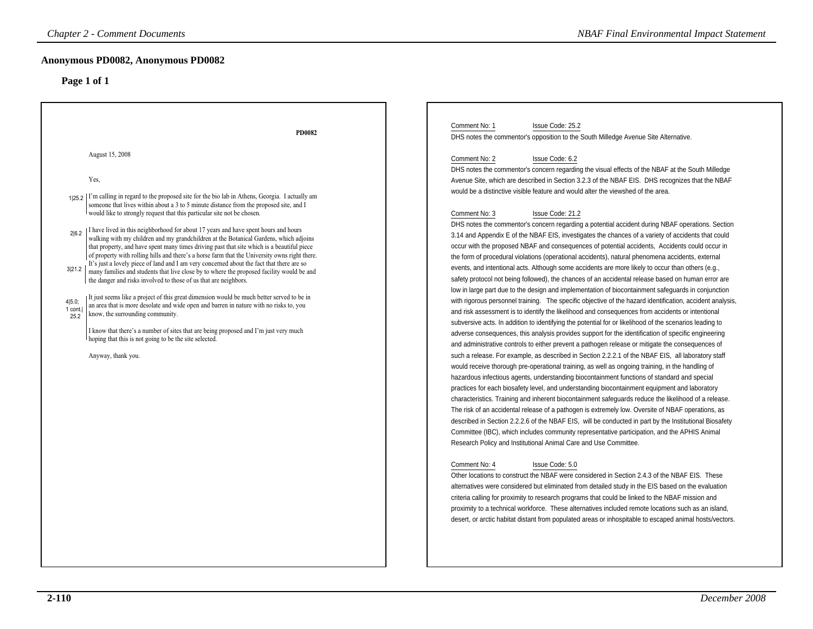| <b>Chapter 2 - Comment Documents</b>                                                                                                                                                                                                                                                                                                                                                                                                                                                                                                                                                                                                                                                                                                                                                                                                                                                                                                                                                                                                                                                                                                                                                                                                                                                                                                                                                                                  | <b>NBAF Final Environmental Impact Statement</b>                                                                                                                                                                                                                                                                                                                                                                                                                                                                                                                                                                                                                                                                                                                                                                                                                                                                                                                                                                                                                                                                                                                                                                                                                                                                                                                                                                                                                                                                                                                                                                                                                                                                                                                                                                                                                                                                                                                                                                                                                                                                                                                                                                                                                                                                                                                                                                                                                                                                                                                                                                                                                                                                                                                                                                                                                                                                                                                                                                                                                                                                                                                                                                                           |
|-----------------------------------------------------------------------------------------------------------------------------------------------------------------------------------------------------------------------------------------------------------------------------------------------------------------------------------------------------------------------------------------------------------------------------------------------------------------------------------------------------------------------------------------------------------------------------------------------------------------------------------------------------------------------------------------------------------------------------------------------------------------------------------------------------------------------------------------------------------------------------------------------------------------------------------------------------------------------------------------------------------------------------------------------------------------------------------------------------------------------------------------------------------------------------------------------------------------------------------------------------------------------------------------------------------------------------------------------------------------------------------------------------------------------|--------------------------------------------------------------------------------------------------------------------------------------------------------------------------------------------------------------------------------------------------------------------------------------------------------------------------------------------------------------------------------------------------------------------------------------------------------------------------------------------------------------------------------------------------------------------------------------------------------------------------------------------------------------------------------------------------------------------------------------------------------------------------------------------------------------------------------------------------------------------------------------------------------------------------------------------------------------------------------------------------------------------------------------------------------------------------------------------------------------------------------------------------------------------------------------------------------------------------------------------------------------------------------------------------------------------------------------------------------------------------------------------------------------------------------------------------------------------------------------------------------------------------------------------------------------------------------------------------------------------------------------------------------------------------------------------------------------------------------------------------------------------------------------------------------------------------------------------------------------------------------------------------------------------------------------------------------------------------------------------------------------------------------------------------------------------------------------------------------------------------------------------------------------------------------------------------------------------------------------------------------------------------------------------------------------------------------------------------------------------------------------------------------------------------------------------------------------------------------------------------------------------------------------------------------------------------------------------------------------------------------------------------------------------------------------------------------------------------------------------------------------------------------------------------------------------------------------------------------------------------------------------------------------------------------------------------------------------------------------------------------------------------------------------------------------------------------------------------------------------------------------------------------------------------------------------------------------------------------------------|
| Anonymous PD0082, Anonymous PD0082<br>Page 1 of 1                                                                                                                                                                                                                                                                                                                                                                                                                                                                                                                                                                                                                                                                                                                                                                                                                                                                                                                                                                                                                                                                                                                                                                                                                                                                                                                                                                     |                                                                                                                                                                                                                                                                                                                                                                                                                                                                                                                                                                                                                                                                                                                                                                                                                                                                                                                                                                                                                                                                                                                                                                                                                                                                                                                                                                                                                                                                                                                                                                                                                                                                                                                                                                                                                                                                                                                                                                                                                                                                                                                                                                                                                                                                                                                                                                                                                                                                                                                                                                                                                                                                                                                                                                                                                                                                                                                                                                                                                                                                                                                                                                                                                                            |
| <b>PD0082</b><br>August 15, 2008<br>Yes,<br>$125.2$ I'm calling in regard to the proposed site for the bio lab in Athens, Georgia. I actually am<br>someone that lives within about a 3 to 5 minute distance from the proposed site, and I<br>would like to strongly request that this particular site not be chosen.<br>I have lived in this neighborhood for about 17 years and have spent hours and hours<br>216.2<br>walking with my children and my grandchildren at the Botanical Gardens, which adjoins<br>that property, and have spent many times driving past that site which is a beautiful piece<br>of property with rolling hills and there's a horse farm that the University owns right there.<br>It's just a lovely piece of land and I am very concerned about the fact that there are so<br>3 21.2<br>many families and students that live close by to where the proposed facility would be and<br>the danger and risks involved to those of us that are neighbors.<br>It just seems like a project of this great dimension would be much better served to be in<br>4 5.0;<br>an area that is more desolate and wide open and barren in nature with no risks to, you<br>1 cont.<br>know, the surrounding community.<br>25.2<br>I know that there's a number of sites that are being proposed and I'm just very much<br>hoping that this is not going to be the site selected.<br>Anyway, thank you. | Comment No: 1<br>Issue Code: 25.2<br>DHS notes the commentor's opposition to the South Milledge Avenue Site Alternative.<br>Comment No: 2<br>Issue Code: 6.2<br>DHS notes the commentor's concern regarding the visual effects of the NBAF at the South Milledge<br>Avenue Site, which are described in Section 3.2.3 of the NBAF EIS. DHS recognizes that the NBAF<br>would be a distinctive visible feature and would alter the viewshed of the area.<br>Comment No: 3<br>Issue Code: 21.2<br>DHS notes the commentor's concern regarding a potential accident during NBAF operations. Section<br>3.14 and Appendix E of the NBAF EIS, investigates the chances of a variety of accidents that could<br>occur with the proposed NBAF and consequences of potential accidents, Accidents could occur in<br>the form of procedural violations (operational accidents), natural phenomena accidents, external<br>events, and intentional acts. Although some accidents are more likely to occur than others (e.g.,<br>safety protocol not being followed), the chances of an accidental release based on human error are<br>low in large part due to the design and implementation of biocontainment safeguards in conjunction<br>with rigorous personnel training. The specific objective of the hazard identification, accident analysis,<br>and risk assessment is to identify the likelihood and consequences from accidents or intentional<br>subversive acts. In addition to identifying the potential for or likelihood of the scenarios leading to<br>adverse consequences, this analysis provides support for the identification of specific engineering<br>and administrative controls to either prevent a pathogen release or mitigate the consequences of<br>such a release. For example, as described in Section 2.2.2.1 of the NBAF EIS, all laboratory staff<br>would receive thorough pre-operational training, as well as ongoing training, in the handling of<br>hazardous infectious agents, understanding biocontainment functions of standard and special<br>practices for each biosafety level, and understanding biocontainment equipment and laboratory<br>characteristics. Training and inherent biocontainment safeguards reduce the likelihood of a release.<br>The risk of an accidental release of a pathogen is extremely low. Oversite of NBAF operations, as<br>described in Section 2.2.2.6 of the NBAF EIS, will be conducted in part by the Institutional Biosafety<br>Committee (IBC), which includes community representative participation, and the APHIS Animal<br>Research Policy and Institutional Animal Care and Use Committee.<br>Comment No: 4<br>Issue Code: 5.0<br>Other locations to construct the NBAF were considered in Section 2.4.3 of the NBAF EIS. These<br>alternatives were considered but eliminated from detailed study in the EIS based on the evaluation<br>criteria calling for proximity to research programs that could be linked to the NBAF mission and<br>proximity to a technical workforce. These alternatives included remote locations such as an island,<br>desert, or arctic habitat distant from populated areas or inhospitable to escaped animal hosts/vectors. |
|                                                                                                                                                                                                                                                                                                                                                                                                                                                                                                                                                                                                                                                                                                                                                                                                                                                                                                                                                                                                                                                                                                                                                                                                                                                                                                                                                                                                                       |                                                                                                                                                                                                                                                                                                                                                                                                                                                                                                                                                                                                                                                                                                                                                                                                                                                                                                                                                                                                                                                                                                                                                                                                                                                                                                                                                                                                                                                                                                                                                                                                                                                                                                                                                                                                                                                                                                                                                                                                                                                                                                                                                                                                                                                                                                                                                                                                                                                                                                                                                                                                                                                                                                                                                                                                                                                                                                                                                                                                                                                                                                                                                                                                                                            |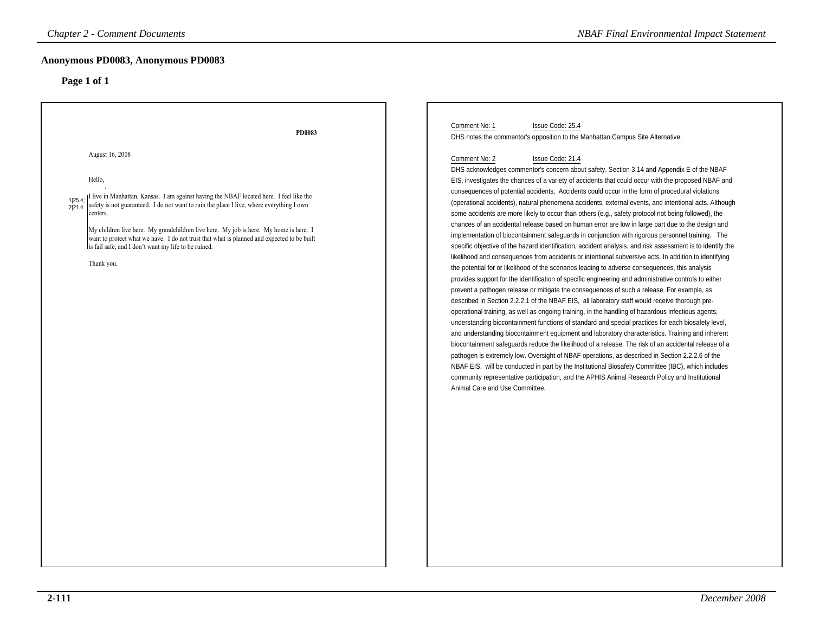| <b>Chapter 2 - Comment Documents</b>                                                                                                                                                                                                                                                                                                                                                                                                                                                                            | <b>NBAF Final Environmental Impact Statement</b>                                                                                                                                                                                                                                                                                                                                                                                                                                                                                                                                                                                                                                                                                                                                                                                                                                                                                                                                                                                                                                                                                                                                                                                                                                                                                                                                                                                                                                                                                                                                                                                                                                                                                                                                                                                                                                                                                                                                                                                                                                                                                                                           |
|-----------------------------------------------------------------------------------------------------------------------------------------------------------------------------------------------------------------------------------------------------------------------------------------------------------------------------------------------------------------------------------------------------------------------------------------------------------------------------------------------------------------|----------------------------------------------------------------------------------------------------------------------------------------------------------------------------------------------------------------------------------------------------------------------------------------------------------------------------------------------------------------------------------------------------------------------------------------------------------------------------------------------------------------------------------------------------------------------------------------------------------------------------------------------------------------------------------------------------------------------------------------------------------------------------------------------------------------------------------------------------------------------------------------------------------------------------------------------------------------------------------------------------------------------------------------------------------------------------------------------------------------------------------------------------------------------------------------------------------------------------------------------------------------------------------------------------------------------------------------------------------------------------------------------------------------------------------------------------------------------------------------------------------------------------------------------------------------------------------------------------------------------------------------------------------------------------------------------------------------------------------------------------------------------------------------------------------------------------------------------------------------------------------------------------------------------------------------------------------------------------------------------------------------------------------------------------------------------------------------------------------------------------------------------------------------------------|
| Anonymous PD0083, Anonymous PD0083<br>Page 1 of 1                                                                                                                                                                                                                                                                                                                                                                                                                                                               |                                                                                                                                                                                                                                                                                                                                                                                                                                                                                                                                                                                                                                                                                                                                                                                                                                                                                                                                                                                                                                                                                                                                                                                                                                                                                                                                                                                                                                                                                                                                                                                                                                                                                                                                                                                                                                                                                                                                                                                                                                                                                                                                                                            |
| PD0083                                                                                                                                                                                                                                                                                                                                                                                                                                                                                                          | Comment No: 1<br>Issue Code: 25.4<br>DHS notes the commentor's opposition to the Manhattan Campus Site Alternative.                                                                                                                                                                                                                                                                                                                                                                                                                                                                                                                                                                                                                                                                                                                                                                                                                                                                                                                                                                                                                                                                                                                                                                                                                                                                                                                                                                                                                                                                                                                                                                                                                                                                                                                                                                                                                                                                                                                                                                                                                                                        |
| August 16, 2008<br>Hello,<br>I live in Manhattan, Kansas. I am against having the NBAF located here. I feel like the<br>1 25.4;<br>safety is not guaranteed. I do not want to ruin the place I live, where everything I own<br>2 21.4<br>centers.<br>My children live here. My grandchildren live here. My job is here. My home is here. I<br>want to protect what we have. I do not trust that what is planned and expected to be built<br>lis fail safe, and I don't want my life to be ruined.<br>Thank you. | Comment No: 2<br>Issue Code: 21.4<br>DHS acknowledges commentor's concern about safety. Section 3.14 and Appendix E of the NBAF<br>EIS, investigates the chances of a variety of accidents that could occur with the proposed NBAF and<br>consequences of potential accidents, Accidents could occur in the form of procedural violations<br>(operational accidents), natural phenomena accidents, external events, and intentional acts. Although<br>some accidents are more likely to occur than others (e.g., safety protocol not being followed), the<br>chances of an accidental release based on human error are low in large part due to the design and<br>implementation of biocontainment safeguards in conjunction with rigorous personnel training. The<br>specific objective of the hazard identification, accident analysis, and risk assessment is to identify the<br>likelihood and consequences from accidents or intentional subversive acts. In addition to identifying<br>the potential for or likelihood of the scenarios leading to adverse consequences, this analysis<br>provides support for the identification of specific engineering and administrative controls to either<br>prevent a pathogen release or mitigate the consequences of such a release. For example, as<br>described in Section 2.2.2.1 of the NBAF EIS, all laboratory staff would receive thorough pre-<br>operational training, as well as ongoing training, in the handling of hazardous infectious agents,<br>understanding biocontainment functions of standard and special practices for each biosafety level,<br>and understanding biocontainment equipment and laboratory characteristics. Training and inherent<br>biocontainment safeguards reduce the likelihood of a release. The risk of an accidental release of a<br>pathogen is extremely low. Oversight of NBAF operations, as described in Section 2.2.2.6 of the<br>NBAF EIS, will be conducted in part by the Institutional Biosafety Committee (IBC), which includes<br>community representative participation, and the APHIS Animal Research Policy and Institutional<br>Animal Care and Use Committee. |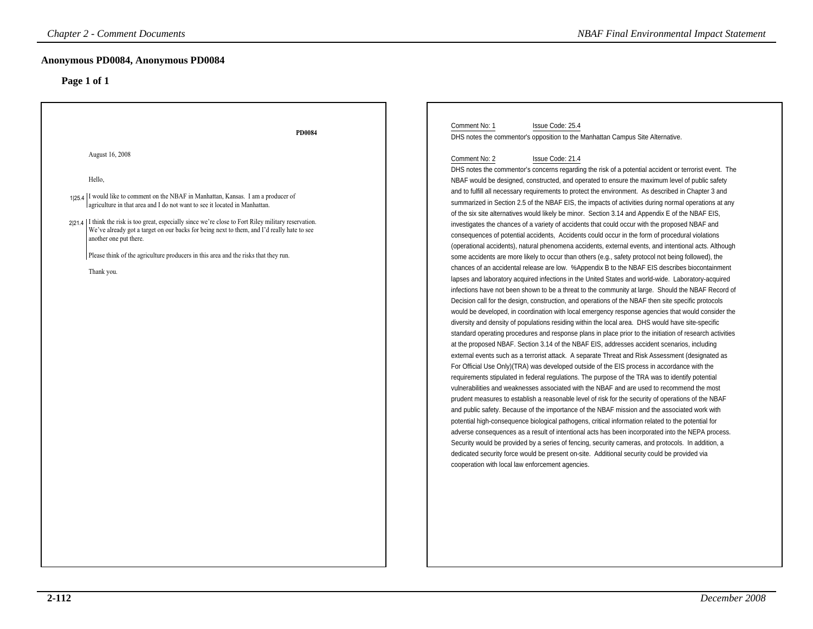| <b>Chapter 2 - Comment Documents</b>                                                                                                                                                                                                                                                                                                                                                                                                                                                                                                                     | <b>NBAF Final Environmental Impact Statement</b>                                                                                                                                                                                                                                                                                                                                                                                                                                                                                                                                                                                                                                                                                                                                                                                                                                                                                                                                                                                                                                                                                                                                                                                                                                                                                                                                                                                                                                                                                                                                                                                                                                                                                                                                                                                                                                                                                                                                                                                                                                                                                                                                                                                                                                                                                                                                                                                                                                                                                                                                                                                                                                                                                                                                                                                                                                                                                                                                                                                          |
|----------------------------------------------------------------------------------------------------------------------------------------------------------------------------------------------------------------------------------------------------------------------------------------------------------------------------------------------------------------------------------------------------------------------------------------------------------------------------------------------------------------------------------------------------------|-------------------------------------------------------------------------------------------------------------------------------------------------------------------------------------------------------------------------------------------------------------------------------------------------------------------------------------------------------------------------------------------------------------------------------------------------------------------------------------------------------------------------------------------------------------------------------------------------------------------------------------------------------------------------------------------------------------------------------------------------------------------------------------------------------------------------------------------------------------------------------------------------------------------------------------------------------------------------------------------------------------------------------------------------------------------------------------------------------------------------------------------------------------------------------------------------------------------------------------------------------------------------------------------------------------------------------------------------------------------------------------------------------------------------------------------------------------------------------------------------------------------------------------------------------------------------------------------------------------------------------------------------------------------------------------------------------------------------------------------------------------------------------------------------------------------------------------------------------------------------------------------------------------------------------------------------------------------------------------------------------------------------------------------------------------------------------------------------------------------------------------------------------------------------------------------------------------------------------------------------------------------------------------------------------------------------------------------------------------------------------------------------------------------------------------------------------------------------------------------------------------------------------------------------------------------------------------------------------------------------------------------------------------------------------------------------------------------------------------------------------------------------------------------------------------------------------------------------------------------------------------------------------------------------------------------------------------------------------------------------------------------------------------------|
| Anonymous PD0084, Anonymous PD0084<br>Page 1 of 1                                                                                                                                                                                                                                                                                                                                                                                                                                                                                                        |                                                                                                                                                                                                                                                                                                                                                                                                                                                                                                                                                                                                                                                                                                                                                                                                                                                                                                                                                                                                                                                                                                                                                                                                                                                                                                                                                                                                                                                                                                                                                                                                                                                                                                                                                                                                                                                                                                                                                                                                                                                                                                                                                                                                                                                                                                                                                                                                                                                                                                                                                                                                                                                                                                                                                                                                                                                                                                                                                                                                                                           |
| <b>PD0084</b><br>August 16, 2008<br>Hello,<br>125.4 I would like to comment on the NBAF in Manhattan, Kansas. I am a producer of<br>agriculture in that area and I do not want to see it located in Manhattan.<br>$2 21.4 $ I think the risk is too great, especially since we're close to Fort Riley military reservation.<br>We've already got a target on our backs for being next to them, and I'd really hate to see<br>another one put there.<br>Please think of the agriculture producers in this area and the risks that they run.<br>Thank you. | Comment No: 1<br>Issue Code: 25.4<br>DHS notes the commentor's opposition to the Manhattan Campus Site Alternative.<br>Comment No: 2<br>Issue Code: 21.4<br>DHS notes the commentor's concerns regarding the risk of a potential accident or terrorist event. The<br>NBAF would be designed, constructed, and operated to ensure the maximum level of public safety<br>and to fulfill all necessary requirements to protect the environment. As described in Chapter 3 and<br>summarized in Section 2.5 of the NBAF EIS, the impacts of activities during normal operations at any<br>of the six site alternatives would likely be minor. Section 3.14 and Appendix E of the NBAF EIS,<br>investigates the chances of a variety of accidents that could occur with the proposed NBAF and<br>consequences of potential accidents, Accidents could occur in the form of procedural violations<br>(operational accidents), natural phenomena accidents, external events, and intentional acts. Although<br>some accidents are more likely to occur than others (e.g., safety protocol not being followed), the<br>chances of an accidental release are low. %Appendix B to the NBAF EIS describes biocontainment<br>lapses and laboratory acquired infections in the United States and world-wide. Laboratory-acquired<br>infections have not been shown to be a threat to the community at large. Should the NBAF Record of<br>Decision call for the design, construction, and operations of the NBAF then site specific protocols<br>would be developed, in coordination with local emergency response agencies that would consider the<br>diversity and density of populations residing within the local area. DHS would have site-specific<br>standard operating procedures and response plans in place prior to the initiation of research activities<br>at the proposed NBAF. Section 3.14 of the NBAF EIS, addresses accident scenarios, including<br>external events such as a terrorist attack. A separate Threat and Risk Assessment (designated as<br>For Official Use Only) (TRA) was developed outside of the EIS process in accordance with the<br>requirements stipulated in federal regulations. The purpose of the TRA was to identify potential<br>vulnerabilities and weaknesses associated with the NBAF and are used to recommend the most<br>prudent measures to establish a reasonable level of risk for the security of operations of the NBAF<br>and public safety. Because of the importance of the NBAF mission and the associated work with<br>potential high-consequence biological pathogens, critical information related to the potential for<br>adverse consequences as a result of intentional acts has been incorporated into the NEPA process.<br>Security would be provided by a series of fencing, security cameras, and protocols. In addition, a<br>dedicated security force would be present on-site. Additional security could be provided via<br>cooperation with local law enforcement agencies. |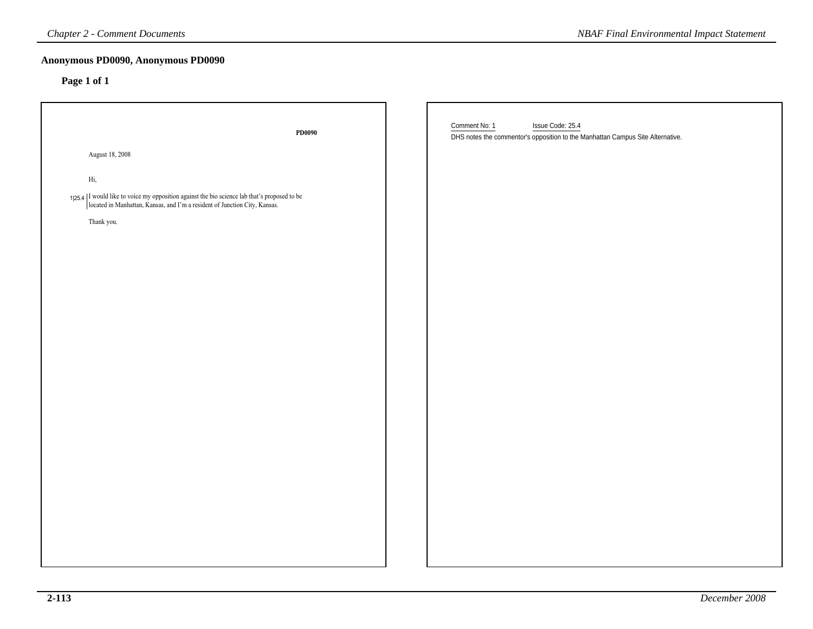| <b>Chapter 2 - Comment Documents</b>                                                                                                                                       | <b>NBAF Final Environmental Impact Statement</b>                                                                    |
|----------------------------------------------------------------------------------------------------------------------------------------------------------------------------|---------------------------------------------------------------------------------------------------------------------|
| Anonymous PD0090, Anonymous PD0090<br>Page 1 of 1                                                                                                                          |                                                                                                                     |
| PD0090                                                                                                                                                                     | Comment No: 1<br>Issue Code: 25.4<br>DHS notes the commentor's opposition to the Manhattan Campus Site Alternative. |
| August 18, 2008                                                                                                                                                            |                                                                                                                     |
| $\rm{Hi},$                                                                                                                                                                 |                                                                                                                     |
| $1 25.4$  I would like to voice my opposition against the bio science lab that's proposed to be located in Manhattan, Kansas, and I'm a resident of Junction City, Kansas. |                                                                                                                     |
| Thank you.                                                                                                                                                                 |                                                                                                                     |
|                                                                                                                                                                            |                                                                                                                     |
|                                                                                                                                                                            |                                                                                                                     |
|                                                                                                                                                                            |                                                                                                                     |
|                                                                                                                                                                            |                                                                                                                     |
|                                                                                                                                                                            |                                                                                                                     |
|                                                                                                                                                                            |                                                                                                                     |
|                                                                                                                                                                            |                                                                                                                     |
|                                                                                                                                                                            |                                                                                                                     |
|                                                                                                                                                                            |                                                                                                                     |
|                                                                                                                                                                            |                                                                                                                     |
|                                                                                                                                                                            |                                                                                                                     |
|                                                                                                                                                                            |                                                                                                                     |
|                                                                                                                                                                            |                                                                                                                     |
|                                                                                                                                                                            |                                                                                                                     |
|                                                                                                                                                                            |                                                                                                                     |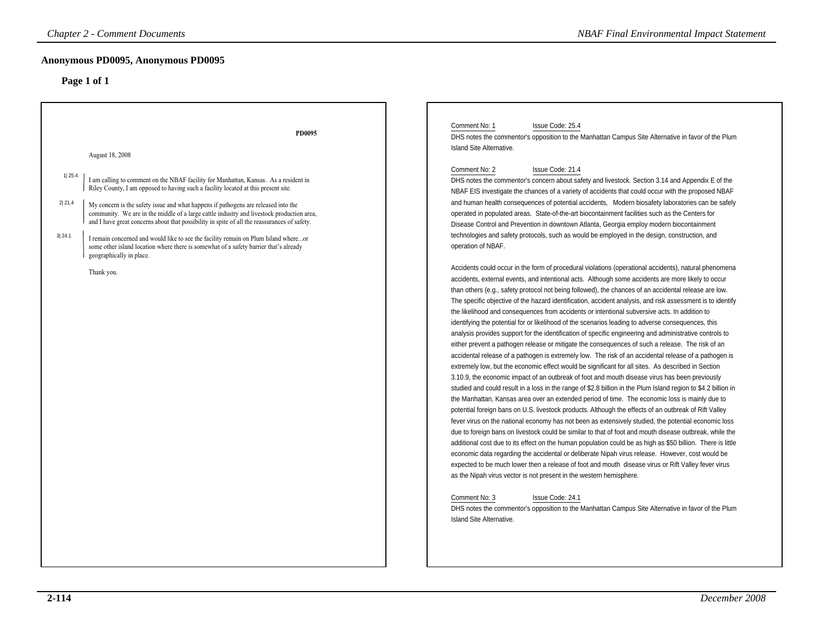| <b>Chapter 2 - Comment Documents</b>                                                                                                                                                                                                                                                                                                                                                                                                                                                                                                                                                                                                                                                                                                               | <b>NBAF Final Environmental Impact Statement</b>                                                                                                                                                                                                                                                                                                                                                                                                                                                                                                                                                                                                                                                                                                                                                                                                                                                                                                                                                                                                                                                                                                                                                                                                                                                                                                                                                                                                                                                                                                                                                                                                                                                                                                                                                                                                                                                                                                                                                                                                                                                                                                                                                                                                                                                                                                                                                                                                                                                                                                                                                                                                                                                                                                                                                                                                                                                                                                                                                                                                                                                                                                   |
|----------------------------------------------------------------------------------------------------------------------------------------------------------------------------------------------------------------------------------------------------------------------------------------------------------------------------------------------------------------------------------------------------------------------------------------------------------------------------------------------------------------------------------------------------------------------------------------------------------------------------------------------------------------------------------------------------------------------------------------------------|----------------------------------------------------------------------------------------------------------------------------------------------------------------------------------------------------------------------------------------------------------------------------------------------------------------------------------------------------------------------------------------------------------------------------------------------------------------------------------------------------------------------------------------------------------------------------------------------------------------------------------------------------------------------------------------------------------------------------------------------------------------------------------------------------------------------------------------------------------------------------------------------------------------------------------------------------------------------------------------------------------------------------------------------------------------------------------------------------------------------------------------------------------------------------------------------------------------------------------------------------------------------------------------------------------------------------------------------------------------------------------------------------------------------------------------------------------------------------------------------------------------------------------------------------------------------------------------------------------------------------------------------------------------------------------------------------------------------------------------------------------------------------------------------------------------------------------------------------------------------------------------------------------------------------------------------------------------------------------------------------------------------------------------------------------------------------------------------------------------------------------------------------------------------------------------------------------------------------------------------------------------------------------------------------------------------------------------------------------------------------------------------------------------------------------------------------------------------------------------------------------------------------------------------------------------------------------------------------------------------------------------------------------------------------------------------------------------------------------------------------------------------------------------------------------------------------------------------------------------------------------------------------------------------------------------------------------------------------------------------------------------------------------------------------------------------------------------------------------------------------------------------------|
| Anonymous PD0095, Anonymous PD0095<br>Page 1 of 1                                                                                                                                                                                                                                                                                                                                                                                                                                                                                                                                                                                                                                                                                                  |                                                                                                                                                                                                                                                                                                                                                                                                                                                                                                                                                                                                                                                                                                                                                                                                                                                                                                                                                                                                                                                                                                                                                                                                                                                                                                                                                                                                                                                                                                                                                                                                                                                                                                                                                                                                                                                                                                                                                                                                                                                                                                                                                                                                                                                                                                                                                                                                                                                                                                                                                                                                                                                                                                                                                                                                                                                                                                                                                                                                                                                                                                                                                    |
| PD0095<br>August 18, 2008<br>1 25.4<br>I am calling to comment on the NBAF facility for Manhattan, Kansas. As a resident in<br>Riley County, I am opposed to having such a facility located at this present site.<br>2 21.4<br>My concern is the safety issue and what happens if pathogens are released into the<br>community. We are in the middle of a large cattle industry and livestock production area,<br>and I have great concerns about that possibility in spite of all the reassurances of safety.<br>3 24.1<br>I remain concerned and would like to see the facility remain on Plum Island whereor<br>some other island location where there is somewhat of a safety barrier that's already<br>geographically in place.<br>Thank you. | Comment No: 1<br>Issue Code: 25.4<br>DHS notes the commentor's opposition to the Manhattan Campus Site Alternative in favor of the Plum<br>Island Site Alternative.<br>Comment No: 2<br>Issue Code: 21.4<br>DHS notes the commentor's concern about safety and livestock. Section 3.14 and Appendix E of the<br>NBAF EIS investigate the chances of a variety of accidents that could occur with the proposed NBAF<br>and human health consequences of potential accidents, Modern biosafety laboratories can be safely<br>operated in populated areas. State-of-the-art biocontainment facilities such as the Centers for<br>Disease Control and Prevention in downtown Atlanta, Georgia employ modern biocontainment<br>technologies and safety protocols, such as would be employed in the design, construction, and<br>operation of NBAF.<br>Accidents could occur in the form of procedural violations (operational accidents), natural phenomena<br>accidents, external events, and intentional acts. Although some accidents are more likely to occur<br>than others (e.g., safety protocol not being followed), the chances of an accidental release are low.<br>The specific objective of the hazard identification, accident analysis, and risk assessment is to identify<br>the likelihood and consequences from accidents or intentional subversive acts. In addition to<br>identifying the potential for or likelihood of the scenarios leading to adverse consequences, this<br>analysis provides support for the identification of specific engineering and administrative controls to<br>either prevent a pathogen release or mitigate the consequences of such a release. The risk of an<br>accidental release of a pathogen is extremely low. The risk of an accidental release of a pathogen is<br>extremely low, but the economic effect would be significant for all sites. As described in Section<br>3.10.9, the economic impact of an outbreak of foot and mouth disease virus has been previously<br>studied and could result in a loss in the range of \$2.8 billion in the Plum Island region to \$4.2 billion in<br>the Manhattan, Kansas area over an extended period of time. The economic loss is mainly due to<br>potential foreign bans on U.S. livestock products. Although the effects of an outbreak of Rift Valley<br>fever virus on the national economy has not been as extensively studied, the potential economic loss<br>due to foreign bans on livestock could be similar to that of foot and mouth disease outbreak, while the<br>additional cost due to its effect on the human population could be as high as \$50 billion. There is little<br>economic data regarding the accidental or deliberate Nipah virus release. However, cost would be<br>expected to be much lower then a release of foot and mouth disease virus or Rift Valley fever virus<br>as the Nipah virus vector is not present in the western hemisphere.<br>Issue Code: 24.1<br>Comment No: 3<br>DHS notes the commentor's opposition to the Manhattan Campus Site Alternative in favor of the Plum<br>Island Site Alternative. |
|                                                                                                                                                                                                                                                                                                                                                                                                                                                                                                                                                                                                                                                                                                                                                    |                                                                                                                                                                                                                                                                                                                                                                                                                                                                                                                                                                                                                                                                                                                                                                                                                                                                                                                                                                                                                                                                                                                                                                                                                                                                                                                                                                                                                                                                                                                                                                                                                                                                                                                                                                                                                                                                                                                                                                                                                                                                                                                                                                                                                                                                                                                                                                                                                                                                                                                                                                                                                                                                                                                                                                                                                                                                                                                                                                                                                                                                                                                                                    |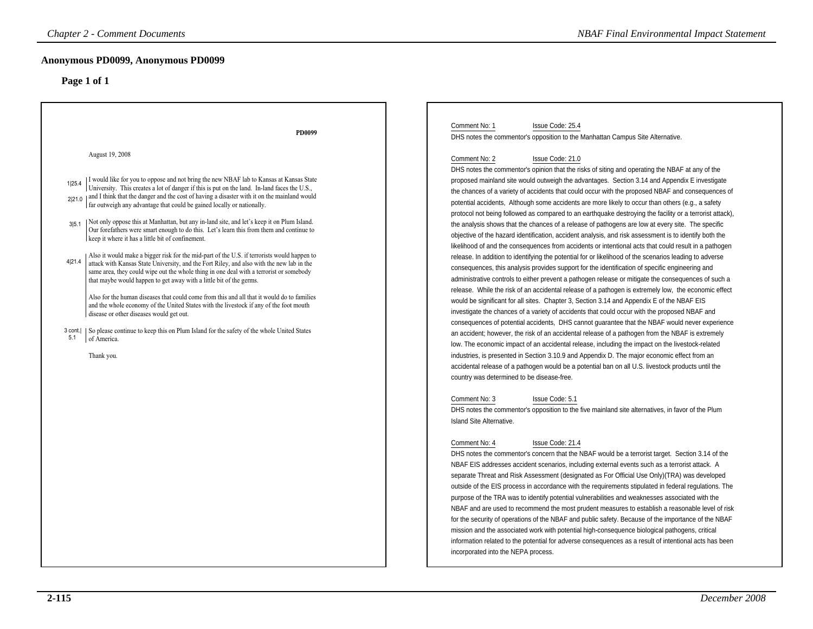| <b>Chapter 2 - Comment Documents</b>                                                                                                                                                                                                                                                                                                                                                                                                                                                                                                                                                                                                                                                                                                                                                                                                                                                                                                                                                                                                                                                                                                                                                                                                                                                                                                                                                                                           | <b>NBAF Final Environmental Impact Statement</b>                                                                                                                                                                                                                                                                                                                                                                                                                                                                                                                                                                                                                                                                                                                                                                                                                                                                                                                                                                                                                                                                                                                                                                                                                                                                                                                                                                                                                                                                                                                                                                                                                                                                                                                                                                                                                                                                                                                                                                                                                                                                                                                                                                                                                                                                                                                                                                                                                                                                                                                                                                                                                                                                                                                                                                                                                                                                                                                                                                                                                                                                                                                                                                                                                                                                                                                                                |
|--------------------------------------------------------------------------------------------------------------------------------------------------------------------------------------------------------------------------------------------------------------------------------------------------------------------------------------------------------------------------------------------------------------------------------------------------------------------------------------------------------------------------------------------------------------------------------------------------------------------------------------------------------------------------------------------------------------------------------------------------------------------------------------------------------------------------------------------------------------------------------------------------------------------------------------------------------------------------------------------------------------------------------------------------------------------------------------------------------------------------------------------------------------------------------------------------------------------------------------------------------------------------------------------------------------------------------------------------------------------------------------------------------------------------------|-------------------------------------------------------------------------------------------------------------------------------------------------------------------------------------------------------------------------------------------------------------------------------------------------------------------------------------------------------------------------------------------------------------------------------------------------------------------------------------------------------------------------------------------------------------------------------------------------------------------------------------------------------------------------------------------------------------------------------------------------------------------------------------------------------------------------------------------------------------------------------------------------------------------------------------------------------------------------------------------------------------------------------------------------------------------------------------------------------------------------------------------------------------------------------------------------------------------------------------------------------------------------------------------------------------------------------------------------------------------------------------------------------------------------------------------------------------------------------------------------------------------------------------------------------------------------------------------------------------------------------------------------------------------------------------------------------------------------------------------------------------------------------------------------------------------------------------------------------------------------------------------------------------------------------------------------------------------------------------------------------------------------------------------------------------------------------------------------------------------------------------------------------------------------------------------------------------------------------------------------------------------------------------------------------------------------------------------------------------------------------------------------------------------------------------------------------------------------------------------------------------------------------------------------------------------------------------------------------------------------------------------------------------------------------------------------------------------------------------------------------------------------------------------------------------------------------------------------------------------------------------------------------------------------------------------------------------------------------------------------------------------------------------------------------------------------------------------------------------------------------------------------------------------------------------------------------------------------------------------------------------------------------------------------------------------------------------------------------------------------------------------------|
| Anonymous PD0099, Anonymous PD0099<br>Page 1 of 1                                                                                                                                                                                                                                                                                                                                                                                                                                                                                                                                                                                                                                                                                                                                                                                                                                                                                                                                                                                                                                                                                                                                                                                                                                                                                                                                                                              |                                                                                                                                                                                                                                                                                                                                                                                                                                                                                                                                                                                                                                                                                                                                                                                                                                                                                                                                                                                                                                                                                                                                                                                                                                                                                                                                                                                                                                                                                                                                                                                                                                                                                                                                                                                                                                                                                                                                                                                                                                                                                                                                                                                                                                                                                                                                                                                                                                                                                                                                                                                                                                                                                                                                                                                                                                                                                                                                                                                                                                                                                                                                                                                                                                                                                                                                                                                                 |
| PD0099<br>August 19, 2008<br>I would like for you to oppose and not bring the new NBAF lab to Kansas at Kansas State<br>1 25.4<br>University. This creates a lot of danger if this is put on the land. In-land faces the U.S.,<br>2 21.0   and I think that the danger and the cost of having a disaster with it on the mainland would<br>far outweigh any advantage that could be gained locally or nationally.<br>Not only oppose this at Manhattan, but any in-land site, and let's keep it on Plum Island.<br>315.1<br>Our forefathers were smart enough to do this. Let's learn this from them and continue to<br>keep it where it has a little bit of confinement.<br>Also it would make a bigger risk for the mid-part of the U.S. if terrorists would happen to<br>4 21.4<br>attack with Kansas State University, and the Fort Riley, and also with the new lab in the<br>same area, they could wipe out the whole thing in one deal with a terrorist or somebody<br>that maybe would happen to get away with a little bit of the germs.<br>Also for the human diseases that could come from this and all that it would do to families<br>and the whole economy of the United States with the livestock if any of the foot mouth<br>disease or other diseases would get out.<br>3 cont.   So please continue to keep this on Plum Island for the safety of the whole United States<br>5.1<br>of America.<br>Thank you. | Comment No: 1<br>Issue Code: 25.4<br>DHS notes the commentor's opposition to the Manhattan Campus Site Alternative.<br>Comment No: 2<br>Issue Code: 21.0<br>DHS notes the commentor's opinion that the risks of siting and operating the NBAF at any of the<br>proposed mainland site would outweigh the advantages. Section 3.14 and Appendix E investigate<br>the chances of a variety of accidents that could occur with the proposed NBAF and consequences of<br>potential accidents, Although some accidents are more likely to occur than others (e.g., a safety<br>protocol not being followed as compared to an earthquake destroying the facility or a terrorist attack),<br>the analysis shows that the chances of a release of pathogens are low at every site. The specific<br>objective of the hazard identification, accident analysis, and risk assessment is to identify both the<br>likelihood of and the consequences from accidents or intentional acts that could result in a pathogen<br>release. In addition to identifying the potential for or likelihood of the scenarios leading to adverse<br>consequences, this analysis provides support for the identification of specific engineering and<br>administrative controls to either prevent a pathogen release or mitigate the consequences of such a<br>release. While the risk of an accidental release of a pathogen is extremely low, the economic effect<br>would be significant for all sites. Chapter 3, Section 3.14 and Appendix E of the NBAF EIS<br>investigate the chances of a variety of accidents that could occur with the proposed NBAF and<br>consequences of potential accidents, DHS cannot guarantee that the NBAF would never experience<br>an accident; however, the risk of an accidental release of a pathogen from the NBAF is extremely<br>low. The economic impact of an accidental release, including the impact on the livestock-related<br>industries, is presented in Section 3.10.9 and Appendix D. The major economic effect from an<br>accidental release of a pathogen would be a potential ban on all U.S. livestock products until the<br>country was determined to be disease-free.<br>Issue Code: 5.1<br>Comment No: 3<br>DHS notes the commentor's opposition to the five mainland site alternatives, in favor of the Plum<br>Island Site Alternative.<br>Issue Code: 21.4<br>Comment No: 4<br>DHS notes the commentor's concern that the NBAF would be a terrorist target. Section 3.14 of the<br>NBAF EIS addresses accident scenarios, including external events such as a terrorist attack. A<br>separate Threat and Risk Assessment (designated as For Official Use Only) (TRA) was developed<br>outside of the EIS process in accordance with the requirements stipulated in federal regulations. The<br>purpose of the TRA was to identify potential vulnerabilities and weaknesses associated with the<br>NBAF and are used to recommend the most prudent measures to establish a reasonable level of risk<br>for the security of operations of the NBAF and public safety. Because of the importance of the NBAF<br>mission and the associated work with potential high-consequence biological pathogens, critical<br>information related to the potential for adverse consequences as a result of intentional acts has been<br>incorporated into the NEPA process. |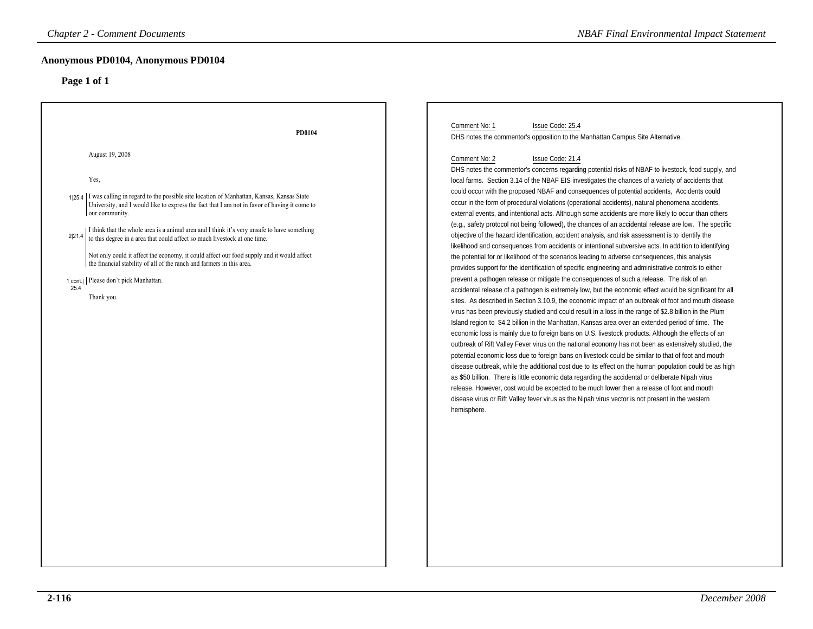| <b>Chapter 2 - Comment Documents</b>                                                                                                                                                                                                                                                                                                                                                                                                                                                                                                                                                                                                                                        | <b>NBAF Final Environmental Impact Statement</b>                                                                                                                                                                                                                                                                                                                                                                                                                                                                                                                                                                                                                                                                                                                                                                                                                                                                                                                                                                                                                                                                                                                                                                                                                                                                                                                                                                                                                                                                                                                                                                                                                                                                                                                                                                                                                                                                                                                                                                                                                                                                                                                                                                                                                                                                                                                               |
|-----------------------------------------------------------------------------------------------------------------------------------------------------------------------------------------------------------------------------------------------------------------------------------------------------------------------------------------------------------------------------------------------------------------------------------------------------------------------------------------------------------------------------------------------------------------------------------------------------------------------------------------------------------------------------|--------------------------------------------------------------------------------------------------------------------------------------------------------------------------------------------------------------------------------------------------------------------------------------------------------------------------------------------------------------------------------------------------------------------------------------------------------------------------------------------------------------------------------------------------------------------------------------------------------------------------------------------------------------------------------------------------------------------------------------------------------------------------------------------------------------------------------------------------------------------------------------------------------------------------------------------------------------------------------------------------------------------------------------------------------------------------------------------------------------------------------------------------------------------------------------------------------------------------------------------------------------------------------------------------------------------------------------------------------------------------------------------------------------------------------------------------------------------------------------------------------------------------------------------------------------------------------------------------------------------------------------------------------------------------------------------------------------------------------------------------------------------------------------------------------------------------------------------------------------------------------------------------------------------------------------------------------------------------------------------------------------------------------------------------------------------------------------------------------------------------------------------------------------------------------------------------------------------------------------------------------------------------------------------------------------------------------------------------------------------------------|
| Anonymous PD0104, Anonymous PD0104                                                                                                                                                                                                                                                                                                                                                                                                                                                                                                                                                                                                                                          |                                                                                                                                                                                                                                                                                                                                                                                                                                                                                                                                                                                                                                                                                                                                                                                                                                                                                                                                                                                                                                                                                                                                                                                                                                                                                                                                                                                                                                                                                                                                                                                                                                                                                                                                                                                                                                                                                                                                                                                                                                                                                                                                                                                                                                                                                                                                                                                |
| Page 1 of 1                                                                                                                                                                                                                                                                                                                                                                                                                                                                                                                                                                                                                                                                 |                                                                                                                                                                                                                                                                                                                                                                                                                                                                                                                                                                                                                                                                                                                                                                                                                                                                                                                                                                                                                                                                                                                                                                                                                                                                                                                                                                                                                                                                                                                                                                                                                                                                                                                                                                                                                                                                                                                                                                                                                                                                                                                                                                                                                                                                                                                                                                                |
| PD0104                                                                                                                                                                                                                                                                                                                                                                                                                                                                                                                                                                                                                                                                      | Comment No: 1<br>Issue Code: 25.4<br>DHS notes the commentor's opposition to the Manhattan Campus Site Alternative.                                                                                                                                                                                                                                                                                                                                                                                                                                                                                                                                                                                                                                                                                                                                                                                                                                                                                                                                                                                                                                                                                                                                                                                                                                                                                                                                                                                                                                                                                                                                                                                                                                                                                                                                                                                                                                                                                                                                                                                                                                                                                                                                                                                                                                                            |
| August 19, 2008<br>Yes,<br>1 25.4   I was calling in regard to the possible site location of Manhattan, Kansas, Kansas State<br>University, and I would like to express the fact that I am not in favor of having it come to<br>our community.<br>I think that the whole area is a animal area and I think it's very unsafe to have something<br>2 21.4<br>to this degree in a area that could affect so much livestock at one time.<br>Not only could it affect the economy, it could affect our food supply and it would affect<br>the financial stability of all of the ranch and farmers in this area.<br>1 cont.    Please don't pick Manhattan.<br>25.4<br>Thank you. | Comment No: 2<br>Issue Code: 21.4<br>DHS notes the commentor's concerns regarding potential risks of NBAF to livestock, food supply, and<br>local farms. Section 3.14 of the NBAF EIS investigates the chances of a variety of accidents that<br>could occur with the proposed NBAF and consequences of potential accidents, Accidents could<br>occur in the form of procedural violations (operational accidents), natural phenomena accidents,<br>external events, and intentional acts. Although some accidents are more likely to occur than others<br>(e.g., safety protocol not being followed), the chances of an accidental release are low. The specific<br>objective of the hazard identification, accident analysis, and risk assessment is to identify the<br>likelihood and consequences from accidents or intentional subversive acts. In addition to identifying<br>the potential for or likelihood of the scenarios leading to adverse consequences, this analysis<br>provides support for the identification of specific engineering and administrative controls to either<br>prevent a pathogen release or mitigate the consequences of such a release. The risk of an<br>accidental release of a pathogen is extremely low, but the economic effect would be significant for all<br>sites. As described in Section 3.10.9, the economic impact of an outbreak of foot and mouth disease<br>virus has been previously studied and could result in a loss in the range of \$2.8 billion in the Plum<br>Island region to \$4.2 billion in the Manhattan, Kansas area over an extended period of time. The<br>economic loss is mainly due to foreign bans on U.S. livestock products. Although the effects of an<br>outbreak of Rift Valley Fever virus on the national economy has not been as extensively studied, the<br>potential economic loss due to foreign bans on livestock could be similar to that of foot and mouth<br>disease outbreak, while the additional cost due to its effect on the human population could be as high<br>as \$50 billion. There is little economic data regarding the accidental or deliberate Nipah virus<br>release. However, cost would be expected to be much lower then a release of foot and mouth<br>disease virus or Rift Valley fever virus as the Nipah virus vector is not present in the western<br>hemisphere. |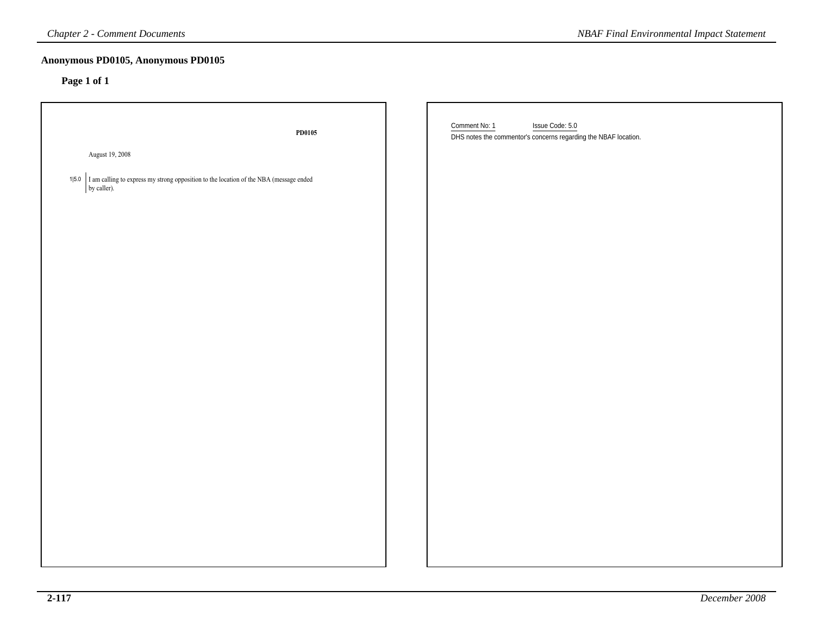| <b>Chapter 2 - Comment Documents</b>                                                                                | <b>NBAF Final Environmental Impact Statement</b>                                                    |
|---------------------------------------------------------------------------------------------------------------------|-----------------------------------------------------------------------------------------------------|
| Anonymous PD0105, Anonymous PD0105<br>Page 1 of 1                                                                   |                                                                                                     |
| PD0105                                                                                                              | Comment No: 1<br>Issue Code: 5.0<br>DHS notes the commentor's concerns regarding the NBAF location. |
| August 19, 2008                                                                                                     |                                                                                                     |
| $\Big $ I am calling to express my strong opposition to the location of the NBA (message ended by caller).<br>1 5.0 |                                                                                                     |
|                                                                                                                     |                                                                                                     |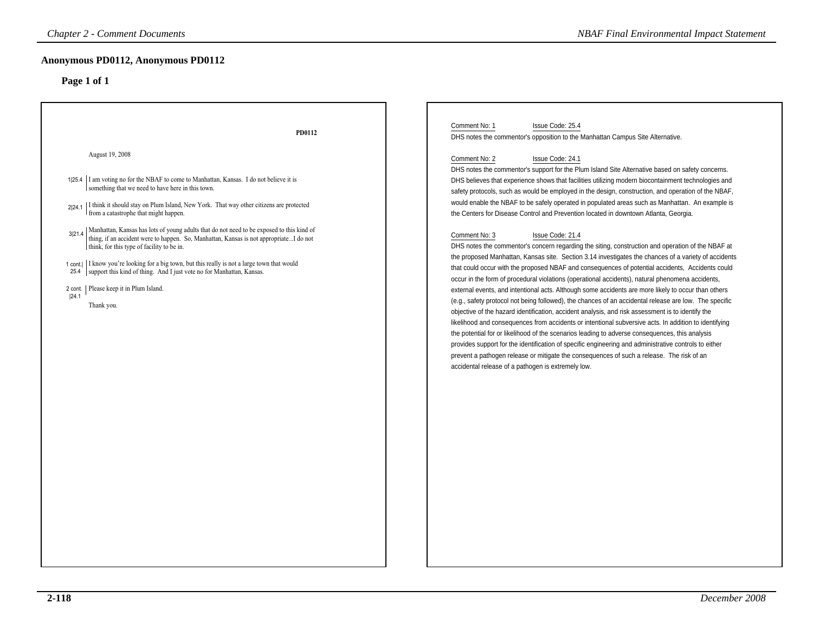| <b>Chapter 2 - Comment Documents</b>                                                                                                                                                                                                                                                                                                                                                                                                                                                                                                                                                                                                                                                                                                                                                                                             | <b>NBAF Final Environmental Impact Statement</b>                                                                                                                                                                                                                                                                                                                                                                                                                                                                                                                                                                                                                                                                                                                                                                                                                                                                                                                                                                                                                                                                                                                                                                                                                                                                                                                                                                                                                                                                                                                                                                                                                                                                                                                                                                                                                                                                              |
|----------------------------------------------------------------------------------------------------------------------------------------------------------------------------------------------------------------------------------------------------------------------------------------------------------------------------------------------------------------------------------------------------------------------------------------------------------------------------------------------------------------------------------------------------------------------------------------------------------------------------------------------------------------------------------------------------------------------------------------------------------------------------------------------------------------------------------|-------------------------------------------------------------------------------------------------------------------------------------------------------------------------------------------------------------------------------------------------------------------------------------------------------------------------------------------------------------------------------------------------------------------------------------------------------------------------------------------------------------------------------------------------------------------------------------------------------------------------------------------------------------------------------------------------------------------------------------------------------------------------------------------------------------------------------------------------------------------------------------------------------------------------------------------------------------------------------------------------------------------------------------------------------------------------------------------------------------------------------------------------------------------------------------------------------------------------------------------------------------------------------------------------------------------------------------------------------------------------------------------------------------------------------------------------------------------------------------------------------------------------------------------------------------------------------------------------------------------------------------------------------------------------------------------------------------------------------------------------------------------------------------------------------------------------------------------------------------------------------------------------------------------------------|
| Anonymous PD0112, Anonymous PD0112<br>Page 1 of 1                                                                                                                                                                                                                                                                                                                                                                                                                                                                                                                                                                                                                                                                                                                                                                                |                                                                                                                                                                                                                                                                                                                                                                                                                                                                                                                                                                                                                                                                                                                                                                                                                                                                                                                                                                                                                                                                                                                                                                                                                                                                                                                                                                                                                                                                                                                                                                                                                                                                                                                                                                                                                                                                                                                               |
| PD0112<br>August 19, 2008<br>I am voting no for the NBAF to come to Manhattan, Kansas. I do not believe it is<br>1 25.4<br>something that we need to have here in this town.<br>$\mid$ I think it should stay on Plum Island, New York. That way other citizens are protected from a catastrophe that might happen.<br>2 24.1<br>  Manhattan, Kansas has lots of young adults that do not need to be exposed to this kind of thing, if an accident were to happen. So, Manhattan, Kansas is not appropriateI do not<br>3 21.4<br>think, for this type of facility to be in.<br>1 cont.  I know you're looking for a big town, but this really is not a large town that would<br>25.4   support this kind of thing. And I just vote no for Manhattan, Kansas.<br>Please keep it in Plum Island.<br>2 cont.<br> 24.1<br>Thank you. | Comment No: 1<br>Issue Code: 25.4<br>DHS notes the commentor's opposition to the Manhattan Campus Site Alternative.<br>Comment No: 2<br>Issue Code: 24.1<br>DHS notes the commentor's support for the Plum Island Site Alternative based on safety concerns.<br>DHS believes that experience shows that facilities utilizing modern biocontainment technologies and<br>safety protocols, such as would be employed in the design, construction, and operation of the NBAF,<br>would enable the NBAF to be safely operated in populated areas such as Manhattan. An example is<br>the Centers for Disease Control and Prevention located in downtown Atlanta, Georgia.<br>Comment No: 3<br>Issue Code: 21.4<br>DHS notes the commentor's concern regarding the siting, construction and operation of the NBAF at<br>the proposed Manhattan, Kansas site. Section 3.14 investigates the chances of a variety of accidents<br>that could occur with the proposed NBAF and consequences of potential accidents, Accidents could<br>occur in the form of procedural violations (operational accidents), natural phenomena accidents,<br>external events, and intentional acts. Although some accidents are more likely to occur than others<br>(e.g., safety protocol not being followed), the chances of an accidental release are low. The specific<br>objective of the hazard identification, accident analysis, and risk assessment is to identify the<br>likelihood and consequences from accidents or intentional subversive acts. In addition to identifying<br>the potential for or likelihood of the scenarios leading to adverse consequences, this analysis<br>provides support for the identification of specific engineering and administrative controls to either<br>prevent a pathogen release or mitigate the consequences of such a release. The risk of an<br>accidental release of a pathogen is extremely low. |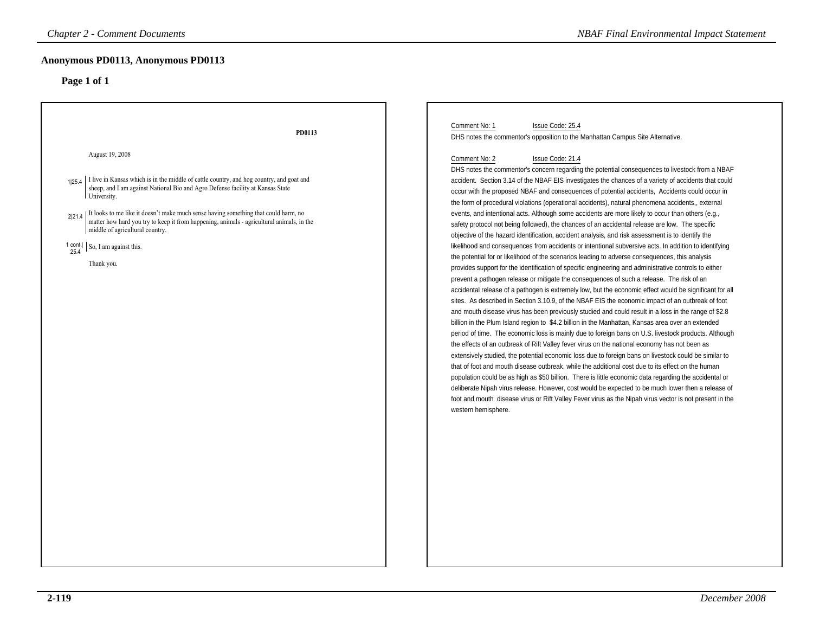| <b>Chapter 2 - Comment Documents</b>                                                                                                                                                                                                                                                                                                                                                                                                                                                                               | <b>NBAF Final Environmental Impact Statement</b>                                                                                                                                                                                                                                                                                                                                                                                                                                                                                                                                                                                                                                                                                                                                                                                                                                                                                                                                                                                                                                                                                                                                                                                                                                                                                                                                                                                                                                                                                                                                                                                                                                                                                                                                                                                                                                                                                                                                                                                                                                                                                                                                                                                                                                                                                                                                         |
|--------------------------------------------------------------------------------------------------------------------------------------------------------------------------------------------------------------------------------------------------------------------------------------------------------------------------------------------------------------------------------------------------------------------------------------------------------------------------------------------------------------------|------------------------------------------------------------------------------------------------------------------------------------------------------------------------------------------------------------------------------------------------------------------------------------------------------------------------------------------------------------------------------------------------------------------------------------------------------------------------------------------------------------------------------------------------------------------------------------------------------------------------------------------------------------------------------------------------------------------------------------------------------------------------------------------------------------------------------------------------------------------------------------------------------------------------------------------------------------------------------------------------------------------------------------------------------------------------------------------------------------------------------------------------------------------------------------------------------------------------------------------------------------------------------------------------------------------------------------------------------------------------------------------------------------------------------------------------------------------------------------------------------------------------------------------------------------------------------------------------------------------------------------------------------------------------------------------------------------------------------------------------------------------------------------------------------------------------------------------------------------------------------------------------------------------------------------------------------------------------------------------------------------------------------------------------------------------------------------------------------------------------------------------------------------------------------------------------------------------------------------------------------------------------------------------------------------------------------------------------------------------------------------------|
| Anonymous PD0113, Anonymous PD0113<br>Page 1 of 1                                                                                                                                                                                                                                                                                                                                                                                                                                                                  |                                                                                                                                                                                                                                                                                                                                                                                                                                                                                                                                                                                                                                                                                                                                                                                                                                                                                                                                                                                                                                                                                                                                                                                                                                                                                                                                                                                                                                                                                                                                                                                                                                                                                                                                                                                                                                                                                                                                                                                                                                                                                                                                                                                                                                                                                                                                                                                          |
| PD0113                                                                                                                                                                                                                                                                                                                                                                                                                                                                                                             | Comment No: 1<br>Issue Code: 25.4<br>DHS notes the commentor's opposition to the Manhattan Campus Site Alternative.                                                                                                                                                                                                                                                                                                                                                                                                                                                                                                                                                                                                                                                                                                                                                                                                                                                                                                                                                                                                                                                                                                                                                                                                                                                                                                                                                                                                                                                                                                                                                                                                                                                                                                                                                                                                                                                                                                                                                                                                                                                                                                                                                                                                                                                                      |
| August 19, 2008<br>I live in Kansas which is in the middle of cattle country, and hog country, and goat and<br>1 25.4<br>sheep, and I am against National Bio and Agro Defense facility at Kansas State<br>University.<br>It looks to me like it doesn't make much sense having something that could harm, no<br>2 21.4<br>matter how hard you try to keep it from happening, animals - agricultural animals, in the<br>middle of agricultural country.<br>1 cont.<br>So, I am against this.<br>25.4<br>Thank you. | Comment No: 2<br>Issue Code: 21.4<br>DHS notes the commentor's concern regarding the potential consequences to livestock from a NBAF<br>accident. Section 3.14 of the NBAF EIS investigates the chances of a variety of accidents that could<br>occur with the proposed NBAF and consequences of potential accidents, Accidents could occur in<br>the form of procedural violations (operational accidents), natural phenomena accidents,, external<br>events, and intentional acts. Although some accidents are more likely to occur than others (e.g.,<br>safety protocol not being followed), the chances of an accidental release are low. The specific<br>objective of the hazard identification, accident analysis, and risk assessment is to identify the<br>likelihood and consequences from accidents or intentional subversive acts. In addition to identifying<br>the potential for or likelihood of the scenarios leading to adverse consequences, this analysis<br>provides support for the identification of specific engineering and administrative controls to either<br>prevent a pathogen release or mitigate the consequences of such a release. The risk of an<br>accidental release of a pathogen is extremely low, but the economic effect would be significant for all<br>sites. As described in Section 3.10.9, of the NBAF EIS the economic impact of an outbreak of foot<br>and mouth disease virus has been previously studied and could result in a loss in the range of \$2.8<br>billion in the Plum Island region to \$4.2 billion in the Manhattan, Kansas area over an extended<br>period of time. The economic loss is mainly due to foreign bans on U.S. livestock products. Although<br>the effects of an outbreak of Rift Valley fever virus on the national economy has not been as<br>extensively studied, the potential economic loss due to foreign bans on livestock could be similar to<br>that of foot and mouth disease outbreak, while the additional cost due to its effect on the human<br>population could be as high as \$50 billion. There is little economic data regarding the accidental or<br>deliberate Nipah virus release. However, cost would be expected to be much lower then a release of<br>foot and mouth disease virus or Rift Valley Fever virus as the Nipah virus vector is not present in the<br>western hemisphere. |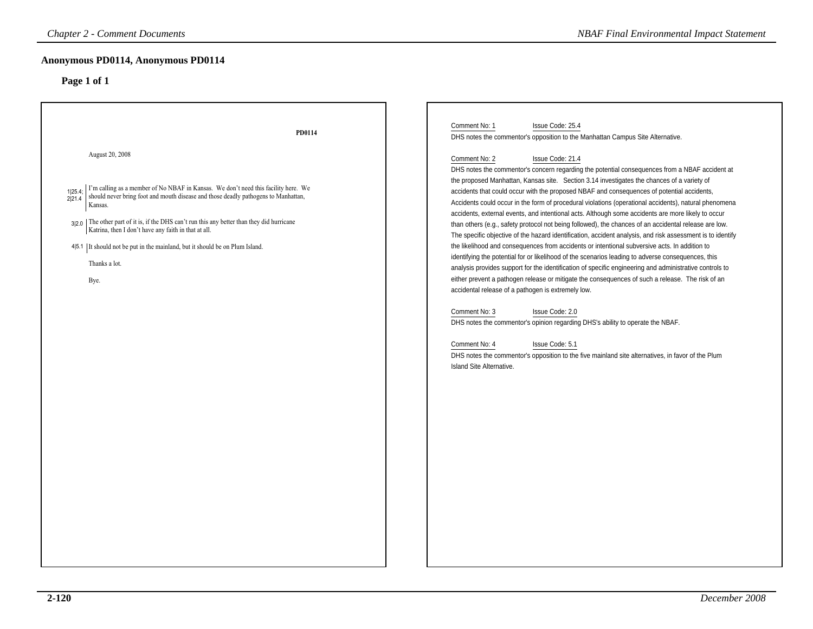| <b>Chapter 2 - Comment Documents</b>                                                                                                                                                                                                                                                                                                                                                                                                                                                    | <b>NBAF Final Environmental Impact Statement</b>                                                                                                                                                                                                                                                                                                                                                                                                                                                                                                                                                                                                                                                                                                                                                                                                                                                                                                                                                                                                                                                                                                                                                                                                                                                                                                                                                                                                                                                                                             |
|-----------------------------------------------------------------------------------------------------------------------------------------------------------------------------------------------------------------------------------------------------------------------------------------------------------------------------------------------------------------------------------------------------------------------------------------------------------------------------------------|----------------------------------------------------------------------------------------------------------------------------------------------------------------------------------------------------------------------------------------------------------------------------------------------------------------------------------------------------------------------------------------------------------------------------------------------------------------------------------------------------------------------------------------------------------------------------------------------------------------------------------------------------------------------------------------------------------------------------------------------------------------------------------------------------------------------------------------------------------------------------------------------------------------------------------------------------------------------------------------------------------------------------------------------------------------------------------------------------------------------------------------------------------------------------------------------------------------------------------------------------------------------------------------------------------------------------------------------------------------------------------------------------------------------------------------------------------------------------------------------------------------------------------------------|
| <b>Anonymous PD0114, Anonymous PD0114</b><br>Page 1 of 1                                                                                                                                                                                                                                                                                                                                                                                                                                |                                                                                                                                                                                                                                                                                                                                                                                                                                                                                                                                                                                                                                                                                                                                                                                                                                                                                                                                                                                                                                                                                                                                                                                                                                                                                                                                                                                                                                                                                                                                              |
| PD0114                                                                                                                                                                                                                                                                                                                                                                                                                                                                                  | Comment No: 1<br>Issue Code: 25.4<br>DHS notes the commentor's opposition to the Manhattan Campus Site Alternative.                                                                                                                                                                                                                                                                                                                                                                                                                                                                                                                                                                                                                                                                                                                                                                                                                                                                                                                                                                                                                                                                                                                                                                                                                                                                                                                                                                                                                          |
| August 20, 2008<br>I'm calling as a member of No NBAF in Kansas. We don't need this facility here. We should never bring foot and mouth disease and those deadly pathogens to Manhattan,<br>1 25.4<br>2 21.4<br>Kansas.<br>3 2.0 The other part of it is, if the DHS can't run this any better than they did hurricane<br>Katrina, then I don't have any faith in that at all.<br>4 5.1 It should not be put in the mainland, but it should be on Plum Island.<br>Thanks a lot.<br>Bye. | Issue Code: 21.4<br>Comment No: 2<br>DHS notes the commentor's concern regarding the potential consequences from a NBAF accident at<br>the proposed Manhattan, Kansas site. Section 3.14 investigates the chances of a variety of<br>accidents that could occur with the proposed NBAF and consequences of potential accidents,<br>Accidents could occur in the form of procedural violations (operational accidents), natural phenomena<br>accidents, external events, and intentional acts. Although some accidents are more likely to occur<br>than others (e.g., safety protocol not being followed), the chances of an accidental release are low.<br>The specific objective of the hazard identification, accident analysis, and risk assessment is to identify<br>the likelihood and consequences from accidents or intentional subversive acts. In addition to<br>identifying the potential for or likelihood of the scenarios leading to adverse consequences, this<br>analysis provides support for the identification of specific engineering and administrative controls to<br>either prevent a pathogen release or mitigate the consequences of such a release. The risk of an<br>accidental release of a pathogen is extremely low.<br>Comment No: 3<br>Issue Code: 2.0<br>DHS notes the commentor's opinion regarding DHS's ability to operate the NBAF.<br>Comment No: 4<br>Issue Code: 5.1<br>DHS notes the commentor's opposition to the five mainland site alternatives, in favor of the Plum<br>Island Site Alternative. |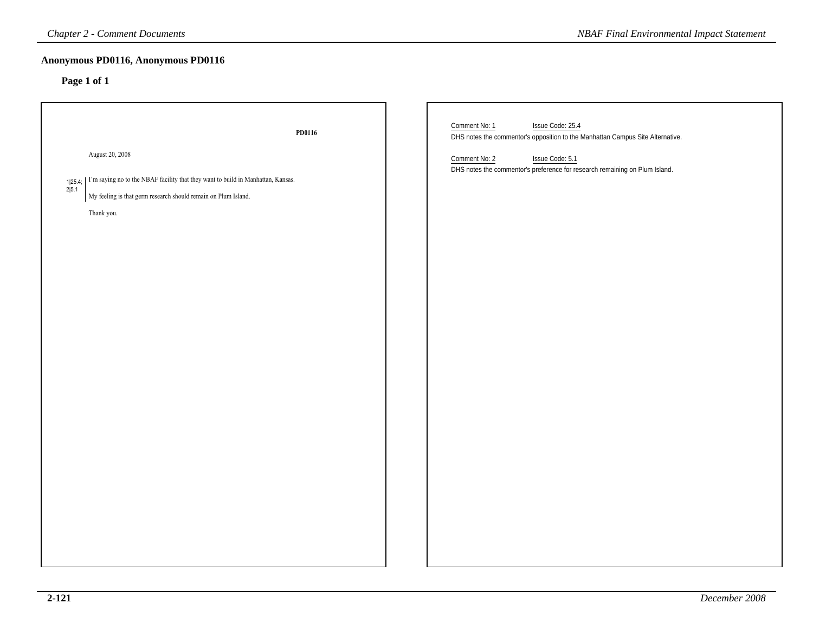|                  | <b>Chapter 2 - Comment Documents</b>                                                                                                                                                          | <b>NBAF Final Environmental Impact Statement</b>                                                                                                                                                                                       |
|------------------|-----------------------------------------------------------------------------------------------------------------------------------------------------------------------------------------------|----------------------------------------------------------------------------------------------------------------------------------------------------------------------------------------------------------------------------------------|
|                  | Anonymous PD0116, Anonymous PD0116<br>Page 1 of 1                                                                                                                                             |                                                                                                                                                                                                                                        |
| 1 25.4;<br>2 5.1 | PD0116<br>August 20, 2008<br>I'm saying no to the NBAF facility that they want to build in Manhattan, Kansas.<br>My feeling is that germ research should remain on Plum Island.<br>Thank you. | Comment No: 1<br>Issue Code: 25.4<br>DHS notes the commentor's opposition to the Manhattan Campus Site Alternative.<br>Comment No: 2<br>Issue Code: 5.1<br>DHS notes the commentor's preference for research remaining on Plum Island. |
|                  |                                                                                                                                                                                               |                                                                                                                                                                                                                                        |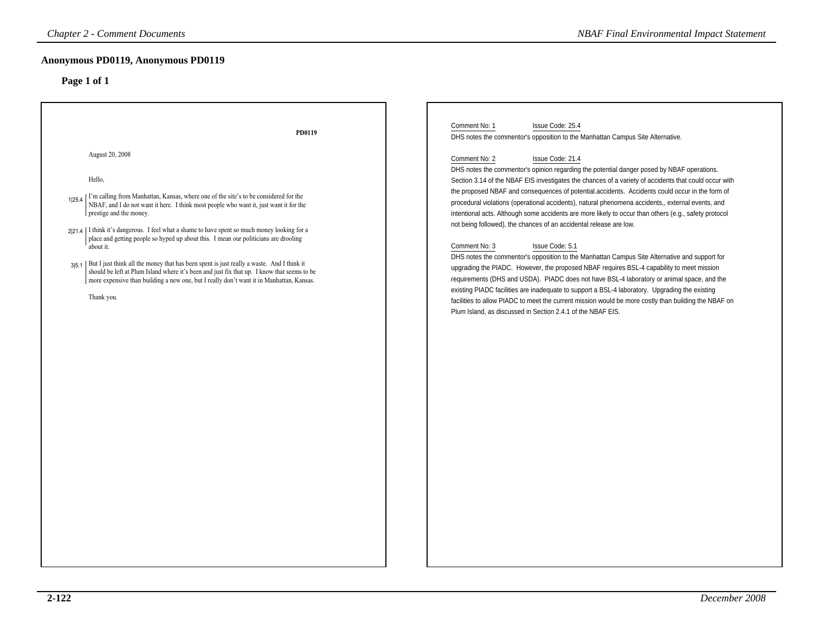|                                                                                                                                                                                                                                                                                                                                                                                                                                                                                                                                                                                                                                                                                                                                                                                 | <b>NBAF Final Environmental Impact Statement</b>                                                                                                                                                                                                                                                                                                                                                                                                                                                                                                                                                                                                                                                                                                                                                                                                                                                                                                                                                                                                                                                                                                                                                                                                                                                                                                                |
|---------------------------------------------------------------------------------------------------------------------------------------------------------------------------------------------------------------------------------------------------------------------------------------------------------------------------------------------------------------------------------------------------------------------------------------------------------------------------------------------------------------------------------------------------------------------------------------------------------------------------------------------------------------------------------------------------------------------------------------------------------------------------------|-----------------------------------------------------------------------------------------------------------------------------------------------------------------------------------------------------------------------------------------------------------------------------------------------------------------------------------------------------------------------------------------------------------------------------------------------------------------------------------------------------------------------------------------------------------------------------------------------------------------------------------------------------------------------------------------------------------------------------------------------------------------------------------------------------------------------------------------------------------------------------------------------------------------------------------------------------------------------------------------------------------------------------------------------------------------------------------------------------------------------------------------------------------------------------------------------------------------------------------------------------------------------------------------------------------------------------------------------------------------|
| Anonymous PD0119, Anonymous PD0119<br>Page 1 of 1                                                                                                                                                                                                                                                                                                                                                                                                                                                                                                                                                                                                                                                                                                                               |                                                                                                                                                                                                                                                                                                                                                                                                                                                                                                                                                                                                                                                                                                                                                                                                                                                                                                                                                                                                                                                                                                                                                                                                                                                                                                                                                                 |
| PD0119<br>August 20, 2008<br>Hello,<br>I'm calling from Manhattan, Kansas, where one of the site's to be considered for the<br>1125.4<br>NBAF, and I do not want it here. I think most people who want it, just want it for the<br>prestige and the money.<br>2 21.4   I think it's dangerous. I feel what a shame to have spent so much money looking for a<br>place and getting people so hyped up about this. I mean our politicians are drooling<br>about it.<br>3[5.1   But I just think all the money that has been spent is just really a waste. And I think it<br>should be left at Plum Island where it's been and just fix that up. I know that seems to be<br>more expensive than building a new one, but I really don't want it in Manhattan, Kansas.<br>Thank you. | Comment No: 1<br>Issue Code: 25.4<br>DHS notes the commentor's opposition to the Manhattan Campus Site Alternative.<br>Issue Code: 21.4<br>Comment No: 2<br>DHS notes the commentor's opinion regarding the potential danger posed by NBAF operations.<br>Section 3.14 of the NBAF EIS investigates the chances of a variety of accidents that could occur with<br>the proposed NBAF and consequences of potential.accidents. Accidents could occur in the form of<br>procedural violations (operational accidents), natural phenomena accidents,, external events, and<br>intentional acts. Although some accidents are more likely to occur than others (e.g., safety protocol<br>not being followed), the chances of an accidental release are low.<br>Issue Code: 5.1<br>Comment No: 3<br>DHS notes the commentor's opposition to the Manhattan Campus Site Alternative and support for<br>upgrading the PIADC. However, the proposed NBAF requires BSL-4 capability to meet mission<br>requirements (DHS and USDA). PIADC does not have BSL-4 laboratory or animal space, and the<br>existing PIADC facilities are inadequate to support a BSL-4 laboratory. Upgrading the existing<br>facilities to allow PIADC to meet the current mission would be more costly than building the NBAF on<br>Plum Island, as discussed in Section 2.4.1 of the NBAF EIS. |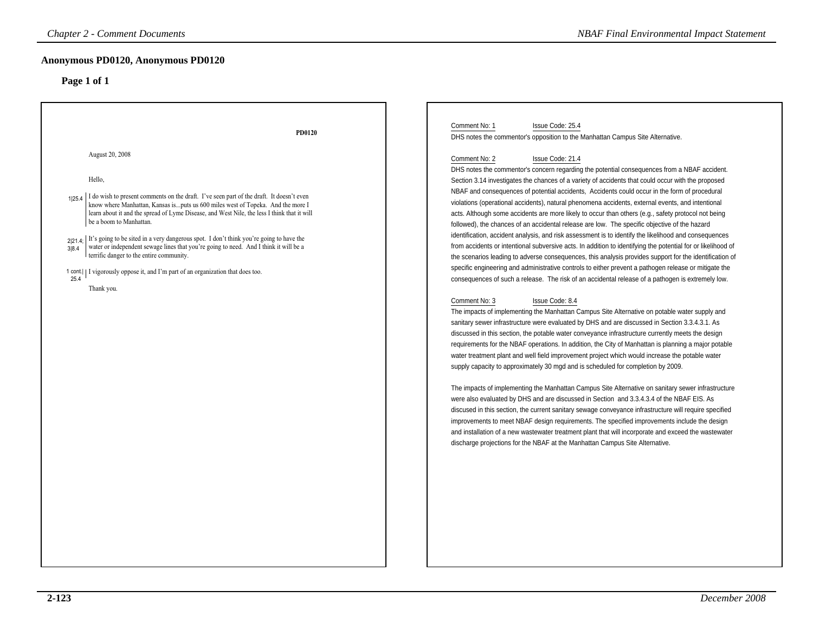| Anonymous PD0120, Anonymous PD0120<br>Page 1 of 1<br>Comment No: 1<br>Issue Code: 25.4<br>PD0120<br>DHS notes the commentor's opposition to the Manhattan Campus Site Alternative.<br>August 20, 2008<br>Comment No: 2<br>Issue Code: 21.4<br>DHS notes the commentor's concern regarding the potential consequences from a NBAF accident.<br>Hello,<br>Section 3.14 investigates the chances of a variety of accidents that could occur with the proposed<br>NBAF and consequences of potential accidents, Accidents could occur in the form of procedural<br>I do wish to present comments on the draft. I've seen part of the draft. It doesn't even<br>1 25.4<br>violations (operational accidents), natural phenomena accidents, external events, and intentional<br>know where Manhattan, Kansas is puts us 600 miles west of Topeka. And the more I<br>learn about it and the spread of Lyme Disease, and West Nile, the less I think that it will<br>acts. Although some accidents are more likely to occur than others (e.g., safety protocol not being<br>be a boom to Manhattan.<br>followed), the chances of an accidental release are low. The specific objective of the hazard<br>identification, accident analysis, and risk assessment is to identify the likelihood and consequences<br>It's going to be sited in a very dangerous spot. I don't think you're going to have the<br>2 21.4;<br>water or independent sewage lines that you're going to need. And I think it will be a<br>from accidents or intentional subversive acts. In addition to identifying the potential for or likelihood of<br>3 8.4<br>terrific danger to the entire community.<br>the scenarios leading to adverse consequences, this analysis provides support for the identification of<br>specific engineering and administrative controls to either prevent a pathogen release or mitigate the<br>1 cont.   I vigorously oppose it, and I'm part of an organization that does too. | <b>Chapter 2 - Comment Documents</b> | <b>NBAF Final Environmental Impact Statement</b>                                                  |
|-----------------------------------------------------------------------------------------------------------------------------------------------------------------------------------------------------------------------------------------------------------------------------------------------------------------------------------------------------------------------------------------------------------------------------------------------------------------------------------------------------------------------------------------------------------------------------------------------------------------------------------------------------------------------------------------------------------------------------------------------------------------------------------------------------------------------------------------------------------------------------------------------------------------------------------------------------------------------------------------------------------------------------------------------------------------------------------------------------------------------------------------------------------------------------------------------------------------------------------------------------------------------------------------------------------------------------------------------------------------------------------------------------------------------------------------------------------------------------------------------------------------------------------------------------------------------------------------------------------------------------------------------------------------------------------------------------------------------------------------------------------------------------------------------------------------------------------------------------------------------------------------------------------------------------------------------------------------------------------|--------------------------------------|---------------------------------------------------------------------------------------------------|
|                                                                                                                                                                                                                                                                                                                                                                                                                                                                                                                                                                                                                                                                                                                                                                                                                                                                                                                                                                                                                                                                                                                                                                                                                                                                                                                                                                                                                                                                                                                                                                                                                                                                                                                                                                                                                                                                                                                                                                                   |                                      |                                                                                                   |
| Thank you.<br>Comment No: 3<br>Issue Code: 8.4<br>The impacts of implementing the Manhattan Campus Site Alternative on potable water supply and<br>sanitary sewer infrastructure were evaluated by DHS and are discussed in Section 3.3.4.3.1. As                                                                                                                                                                                                                                                                                                                                                                                                                                                                                                                                                                                                                                                                                                                                                                                                                                                                                                                                                                                                                                                                                                                                                                                                                                                                                                                                                                                                                                                                                                                                                                                                                                                                                                                                 | 25.4                                 | consequences of such a release. The risk of an accidental release of a pathogen is extremely low. |